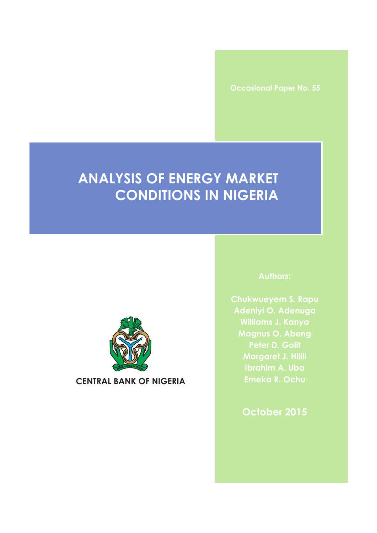**Occasional Paper No. 55**

# **ANALYSIS OF ENERGY MARKET CONDITIONS IN NIGERIA**



**CENTRAL BANK OF NIGERIA**

#### **Authors:**

**Chukwueyem S. Rapu Adeniyi O. Adenuga Williams J. Kanya Magnus O. Abeng Peter D. Golit Margaret J. Hilili Ibrahim A. Uba Emeka R. Ochu**

**October 2015**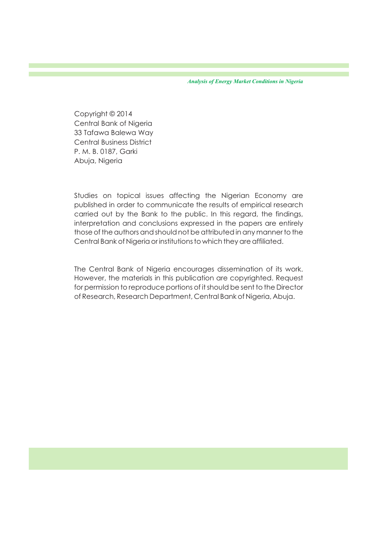Copyright © 2014 Central Bank of Nigeria 33 Tafawa Balewa Way Central Business District P. M. B. 0187, Garki Abuja, Nigeria

Studies on topical issues affecting the Nigerian Economy are published in order to communicate the results of empirical research carried out by the Bank to the public. In this regard, the findings, interpretation and conclusions expressed in the papers are entirely those of the authors and should not be attributed in any manner to the Central Bank of Nigeria or institutions to which they are affiliated.

The Central Bank of Nigeria encourages dissemination of its work. However, the materials in this publication are copyrighted. Request for permission to reproduce portions of it should be sent to the Director of Research, Research Department, Central Bank of Nigeria, Abuja.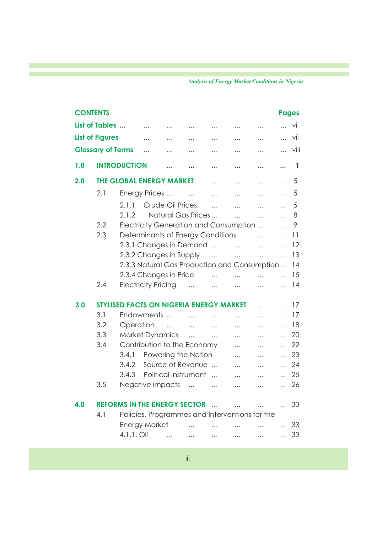| List of Tables<br>$\cdots$                                                          | vi   |
|-------------------------------------------------------------------------------------|------|
| <b>List of Figures</b><br>$\dddot{\phantom{0}}$<br>$\cdots$<br>.<br><br>.<br>.      | vii  |
| <b>Glossary of Terms</b><br>.<br>.<br>.                                             | viii |
| 1.0<br><b>INTRODUCTION</b><br>$\ddotsc$<br>$\cdots$<br>                             | 1    |
| <b>THE GLOBAL ENERGY MARKET</b><br>2.0<br>$\dddotsc$<br>.<br>.                      | 5    |
| 2.1<br>Energy Prices<br>$\cdots$<br>$\cdots$<br><br>                                | 5    |
| 2.1.1<br>Crude Oil Prices<br>$\cdots$<br>$\cdots$<br>.<br>$\cdots$                  | 5    |
| 2.1.2<br>Natural Gas Prices<br>$\cdots$<br>$\cdots$<br>                             | 8    |
| 2.2<br>Electricity Generation and Consumption                                       | 9    |
| 2.3<br>Determinants of Energy Conditions<br>$\cdots$<br>$\dddotsc$                  | 11   |
| 2.3.1 Changes in Demand<br>$\dddotsc$<br>.<br>.                                     | 12   |
| 2.3.2 Changes in Supply<br>$\dddotsc$<br>$\cdots$<br>$\cdots$<br>$\cdots$           | 13   |
| 2.3.3 Natural Gas Production and Consumption                                        | 14   |
| 2.3.4 Changes in Price<br>$\dddotsc$<br>$\cdots$<br>$\cdots$<br>.                   | 15   |
| 2.4<br><b>Electricity Pricing</b><br>$\dddotsc$<br>$\cdots$<br>.<br>$\cdots$<br>.   | 14   |
| <b>STYLISED FACTS ON NIGERIA ENERGY MARKET</b><br>3.0<br>$\ddotsc$                  | 17   |
| 3.1<br>Endowments<br>$\cdots$<br>$\cdots$<br>$\cdots$<br>.<br>.                     | 17   |
| 3.2<br>Operation<br>$\ddotsc$<br>$\cdots$<br>$\cdots$<br>.<br><br>.                 | 18   |
| <b>Market Dynamics</b><br>3.3<br>$\cdots$<br>$\cdots$<br>$\ddotsc$<br>.             | 20   |
| 3.4<br>Contribution to the Economy<br>$\dddotsc$<br>$\cdots$<br>$\cdots$            | 22   |
| Powering the Nation<br>3.4.1<br>$\cdots$<br>$\cdots$<br>$\cdots$                    | 23   |
| Source of Revenue<br>3.4.2<br>$\cdots$<br>.                                         | 24   |
| Political Instrument<br>3.4.3<br>$\cdots$<br>.                                      | 25   |
| 3.5<br>Negative impacts<br>$\sim$<br>$\dddotsc$<br>$\dddotsc$<br>$\cdots$<br>.      | 26   |
| 4.0<br><b>REFORMS IN THE ENERGY SECTOR</b><br>$\dddotsc$<br>$\ddotsc$<br>$\dddotsc$ | 33   |
| Policies, Programmes and Interventions for the<br>4.1                               |      |
| <b>Energy Market</b><br>$\cdots$                                                    | 33   |
| 4.1.1. Oil<br>.<br>$\cdots$<br>$\cdots$<br>$\cdots$<br>$\cdots$<br>                 | 33   |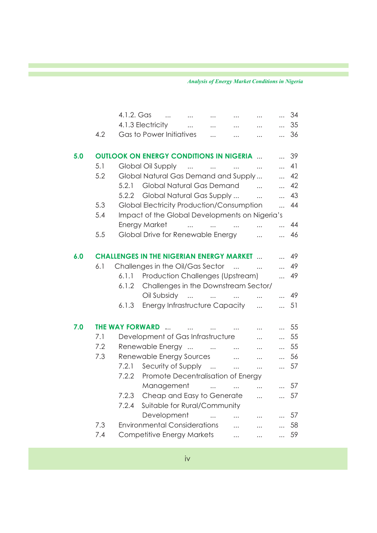|     |     | 4.1.2. Gas | $\cdots$                                         | $\cdots$              | $\cdots$              | $\cdots$             | $\cdots$   | $\dddotsc$            | 34         |
|-----|-----|------------|--------------------------------------------------|-----------------------|-----------------------|----------------------|------------|-----------------------|------------|
|     |     |            | 4.1.3 Electricity                                | $\cdots$              | $\cdots$              | $\cdots$             |            | $\cdots$              | 35         |
|     | 4.2 |            | Gas to Power Initiatives                         |                       | $\cdots$              | $\cdots$             | $\cdots$   | $\cdots$              | 36         |
| 5.0 |     |            | <b>OUTLOOK ON ENERGY CONDITIONS IN NIGERIA </b>  |                       |                       |                      |            | $\ddotsc$             | 39         |
|     | 5.1 |            | Global Oil Supply                                | $\dddotsc$            | $\dddotsc$            | $\sim$ $\sim$ $\sim$ | $\cdots$   | $\dddotsc$            | 41         |
|     | 5.2 |            | Global Natural Gas Demand and Supply             |                       |                       |                      |            | $\dddotsc$            | 42         |
|     |     | 5.2.1      | <b>Global Natural Gas Demand</b>                 |                       |                       |                      | $\dddotsc$ |                       | 42         |
|     |     | 5.2.2      | Global Natural Gas Supply                        |                       |                       |                      | $\cdots$   | $\cdots$              | 43         |
|     | 5.3 |            | Global Electricity Production/Consumption        |                       |                       |                      |            | $\dddotsc$            | 44         |
|     | 5.4 |            | Impact of the Global Developments on Nigeria's   |                       |                       |                      |            |                       |            |
|     |     |            | <b>Energy Market</b>                             | $\dddotsc$            | $\cdots$ $\cdots$     |                      | $\cdots$   | $\cdots$              | 44         |
|     | 5.5 |            | Global Drive for Renewable Energy                |                       |                       |                      | $\cdots$   | $\cdots$              | 46         |
| 6.0 |     |            | <b>CHALLENGES IN THE NIGERIAN ENERGY MARKET </b> |                       |                       |                      |            |                       | 49         |
|     | 6.1 |            | Challenges in the Oil/Gas Sector                 |                       |                       | $\sim$               | $\cdots$   | $\cdots$              | 49         |
|     |     | 6.1.1      | <b>Production Challenges (Upstream)</b>          |                       |                       |                      |            | $\dddot{\phantom{0}}$ | 49         |
|     |     | 6.1.2      | Challenges in the Downstream Sector/             |                       |                       |                      |            |                       |            |
|     |     |            | Oil Subsidy                                      | $\dddotsc$            | $\dddot{\phantom{0}}$ | $\cdots$             | $\cdots$   |                       | 49         |
|     |     | 6.1.3      | <b>Energy Infrastructure Capacity</b>            |                       |                       |                      | $\dddotsc$ |                       | $\dots$ 51 |
| 7.0 |     |            | <b>THE WAY FORWARD</b>                           | $\dddot{\phantom{0}}$ |                       | $\cdots$             | $\dddotsc$ | $\cdots$              | 55         |
|     | 7.1 |            | Development of Gas Infrastructure                |                       |                       |                      | $\dddotsc$ | $\cdots$              | 55         |
|     | 7.2 |            | Renewable Energy                                 |                       |                       | $\sim$ $\sim$        | $\cdots$   | $\cdots$              | 55         |
|     | 7.3 |            | Renewable Energy Sources                         |                       |                       | $\cdots$             | $\cdots$   | $\cdots$              | 56         |
|     |     | 7.2.1      | Security of Supply                               |                       |                       |                      | $\cdots$   | $\cdots$              | 57         |
|     |     | 7.2.2      | Promote Decentralisation of Energy               |                       |                       |                      |            |                       |            |
|     |     |            | Management                                       |                       | $\cdots$              | $\dddotsc$           | $\cdots$   | $\cdots$              | 57         |
|     |     | 7.2.3      | Cheap and Easy to Generate                       |                       |                       |                      | $\cdots$   | $\dddot{\cdots}$      | 57         |
|     |     | 7.2.4      | Suitable for Rural/Community                     |                       |                       |                      |            |                       |            |
|     |     |            | Development                                      |                       | $\cdots$              | $\cdots$             | $\cdots$   |                       | 57         |
|     | 7.3 |            | <b>Environmental Considerations</b>              |                       |                       | $\cdots$             | $\cdots$   | $\cdots$              | 58         |
|     | 7.4 |            | Competitive Energy Markets                       |                       |                       | $\cdots$             | $\cdots$   |                       | 59         |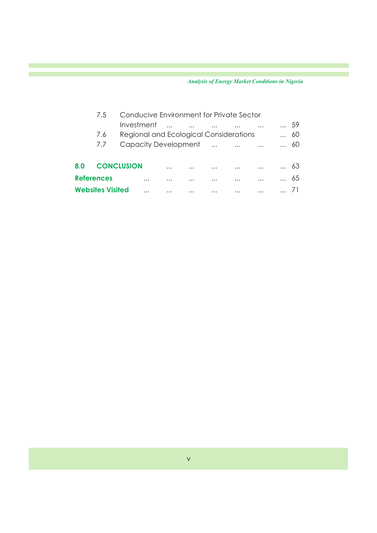|     | 7.5                     |                   |            | Conducive Environment for Private Sector |          |  |             |
|-----|-------------------------|-------------------|------------|------------------------------------------|----------|--|-------------|
|     |                         |                   | Investment |                                          |          |  | -59         |
|     | 7.6                     |                   |            | Regional and Ecological Considerations   |          |  | 60          |
|     | $\frac{1}{2}$           |                   |            | Capacity Development                     | $\cdots$ |  | $\ldots$ 60 |
| 8.0 |                         | <b>CONCLUSION</b> |            |                                          |          |  | 63          |
|     | <b>References</b>       |                   |            |                                          |          |  | - 65        |
|     | <b>Websites Visited</b> |                   |            |                                          |          |  |             |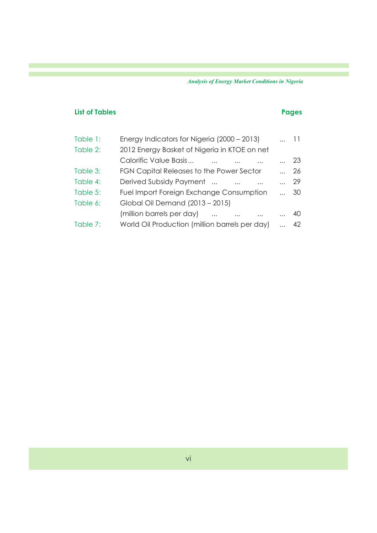### **List of Tables Pages**

| Table 1: | Energy Indicators for Nigeria (2000 - 2013)    |  |      |  |  |  |  |
|----------|------------------------------------------------|--|------|--|--|--|--|
| Table 2: | 2012 Energy Basket of Nigeria in KTOE on net   |  |      |  |  |  |  |
|          | Calorific Value Basis                          |  | - 23 |  |  |  |  |
| Table 3: | FGN Capital Releases to the Power Sector       |  | 26   |  |  |  |  |
| Table 4: | Derived Subsidy Payment<br>$\cdots$            |  | 29   |  |  |  |  |
| Table 5: | Fuel Import Foreign Exchange Consumption       |  | 30   |  |  |  |  |
| Table 6: | Global Oil Demand (2013 - 2015)                |  |      |  |  |  |  |
|          | (million barrels per day)<br>$\dddotsc$        |  | 40   |  |  |  |  |
| Table 7: | World Oil Production (million barrels per day) |  | 42   |  |  |  |  |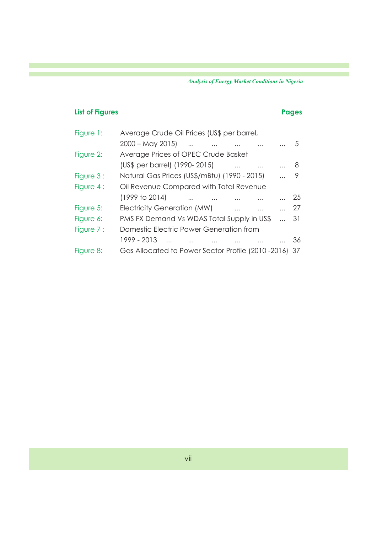# **List of Figures Pages**

| Figure 1: | Average Crude Oil Prices (US\$ per barrel,           |          |          |  |    |
|-----------|------------------------------------------------------|----------|----------|--|----|
|           | $2000 - May 2015$                                    |          |          |  | 5  |
| Figure 2: | Average Prices of OPEC Crude Basket                  |          |          |  |    |
|           | (US\$ per barrel) (1990-2015)                        |          | $\cdots$ |  | 8  |
| Figure 3: | Natural Gas Prices (US\$/mBtu) (1990 - 2015)         |          |          |  | 9  |
| Figure 4: | Oil Revenue Compared with Total Revenue              |          |          |  |    |
|           | (1999 to 2014)                                       | $\cdots$ |          |  | 25 |
| Figure 5: | Electricity Generation (MW)                          |          |          |  | 27 |
| Figure 6: | PMS FX Demand Vs WDAS Total Supply in US\$           |          |          |  | 31 |
| Figure 7: | Domestic Electric Power Generation from              |          |          |  |    |
|           | 1999 - 2013                                          |          |          |  | 36 |
| Figure 8: | Gas Allocated to Power Sector Profile (2010-2016) 37 |          |          |  |    |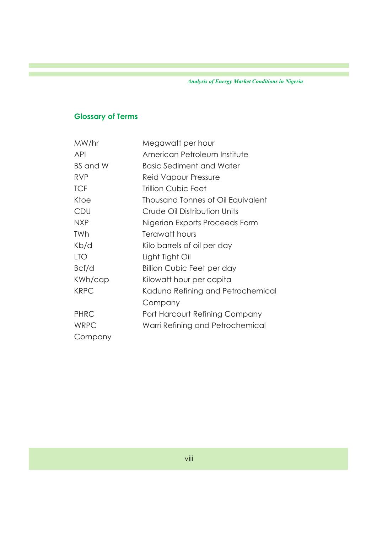# **Glossary of Terms**

| MW/hr           | Megawatt per hour                 |
|-----------------|-----------------------------------|
| <b>API</b>      | American Petroleum Institute      |
| <b>BS</b> and W | <b>Basic Sediment and Water</b>   |
| <b>RVP</b>      | Reid Vapour Pressure              |
| <b>TCF</b>      | <b>Trillion Cubic Feet</b>        |
| Ktoe            | Thousand Tonnes of Oil Equivalent |
| CDU             | Crude Oil Distribution Units      |
| <b>NXP</b>      | Nigerian Exports Proceeds Form    |
| TWh             | Terawatt hours                    |
| Kb/d            | Kilo barrels of oil per day       |
| <b>LTO</b>      | Light Tight Oil                   |
| Bcf/d           | <b>Billion Cubic Feet per day</b> |
| KWh/cap         | Kilowatt hour per capita          |
| <b>KRPC</b>     | Kaduna Refining and Petrochemical |
|                 | Company                           |
| <b>PHRC</b>     | Port Harcourt Refining Company    |
| <b>WRPC</b>     | Warri Refining and Petrochemical  |
| Company         |                                   |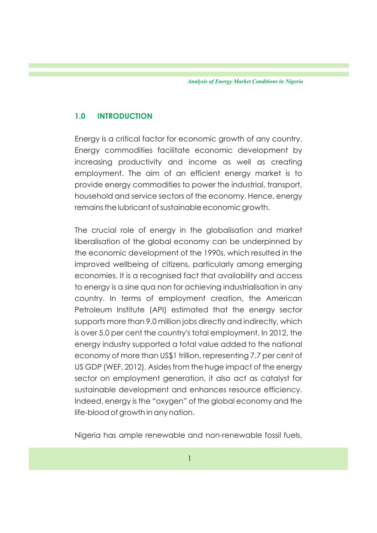#### **1.0 INTRODUCTION**

Energy is a critical factor for economic growth of any country. Energy commodities facilitate economic development by increasing productivity and income as well as creating employment. The aim of an efficient energy market is to provide energy commodities to power the industrial, transport, household and service sectors of the economy. Hence, energy remains the lubricant of sustainable economic growth.

The crucial role of energy in the globalisation and market liberalisation of the global economy can be underpinned by the economic development of the 1990s, which resulted in the improved wellbeing of citizens, particularly among emerging economies. It is a recognised fact that availability and access to energy is a sine qua non for achieving industrialisation in any country. In terms of employment creation, the American Petroleum Institute (API) estimated that the energy sector supports more than 9.0 million jobs directly and indirectly, which is over 5.0 per cent the country's total employment. In 2012, the energy industry supported a total value added to the national economy of more than US\$1 trillion, representing 7.7 per cent of US GDP (WEF, 2012). Asides from the huge impact of the energy sector on employment generation, it also act as catalyst for sustainable development and enhances resource efficiency. Indeed, energy is the "oxygen" of the global economy and the life-blood of growth in any nation.

Nigeria has ample renewable and non-renewable fossil fuels,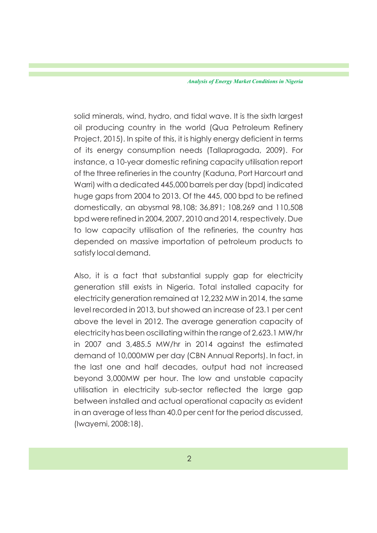solid minerals, wind, hydro, and tidal wave. It is the sixth largest oil producing country in the world (Qua Petroleum Refinery Project, 2015). In spite of this, it is highly energy deficient in terms of its energy consumption needs (Tallapragada, 2009). For instance, a 10-year domestic refining capacity utilisation report of the three refineries in the country (Kaduna, Port Harcourt and Warri) with a dedicated 445,000 barrels per day (bpd) indicated huge gaps from 2004 to 2013. Of the 445, 000 bpd to be refined domestically, an abysmal 98,108; 36,891; 108,269 and 110,508 bpd were refined in 2004, 2007, 2010 and 2014, respectively. Due to low capacity utilisation of the refineries, the country has depended on massive importation of petroleum products to satisfy local demand.

Also, it is a fact that substantial supply gap for electricity generation still exists in Nigeria. Total installed capacity for electricity generation remained at 12,232 MW in 2014, the same level recorded in 2013, but showed an increase of 23.1 per cent above the level in 2012. The average generation capacity of electricity has been oscillating within the range of 2,623.1 MW/hr in 2007 and 3,485.5 MW/hr in 2014 against the estimated demand of 10,000MW per day (CBN Annual Reports). In fact, in the last one and half decades, output had not increased beyond 3,000MW per hour. The low and unstable capacity utilisation in electricity sub-sector reflected the large gap between installed and actual operational capacity as evident in an average of less than 40.0 per cent for the period discussed, (Iwayemi, 2008:18).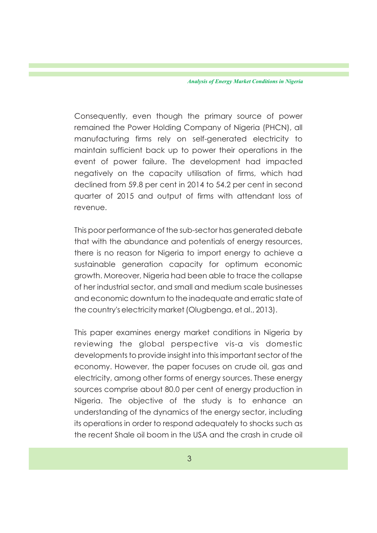Consequently, even though the primary source of power remained the Power Holding Company of Nigeria (PHCN), all manufacturing firms rely on self-generated electricity to maintain sufficient back up to power their operations in the event of power failure. The development had impacted negatively on the capacity utilisation of firms, which had declined from 59.8 per cent in 2014 to 54.2 per cent in second quarter of 2015 and output of firms with attendant loss of revenue.

This poor performance of the sub-sector has generated debate that with the abundance and potentials of energy resources, there is no reason for Nigeria to import energy to achieve a sustainable generation capacity for optimum economic growth. Moreover, Nigeria had been able to trace the collapse of her industrial sector, and small and medium scale businesses and economic downturn to the inadequate and erratic state of the country's electricity market (Olugbenga, et al., 2013).

This paper examines energy market conditions in Nigeria by reviewing the global perspective vis-a vis domestic developments to provide insight into this important sector of the economy. However, the paper focuses on crude oil, gas and electricity, among other forms of energy sources. These energy sources comprise about 80.0 per cent of energy production in Nigeria. The objective of the study is to enhance an understanding of the dynamics of the energy sector, including its operations in order to respond adequately to shocks such as the recent Shale oil boom in the USA and the crash in crude oil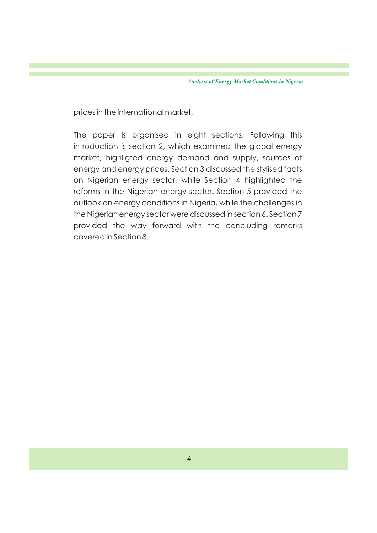prices in the international market.

The paper is organised in eight sections. Following this introduction is section 2, which examined the global energy market, highligted energy demand and supply, sources of energy and energy prices. Section 3 discussed the stylised facts on Nigerian energy sector, while Section 4 highlighted the reforms in the Nigerian energy sector. Section 5 provided the outlook on energy conditions in Nigeria, while the challenges in the Nigerian energy sector were discussed in section 6. Section 7 provided the way forward with the concluding remarks covered in Section 8.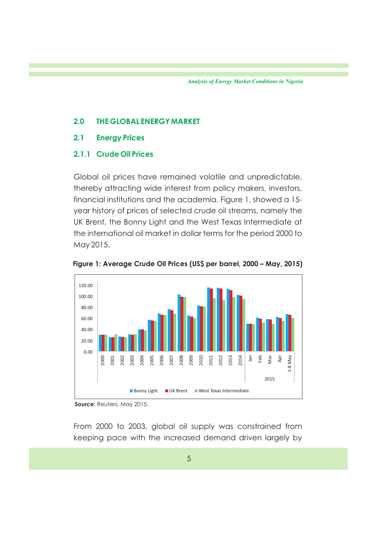#### **2.0 THE GLOBAL ENERGY MARKET**

**2.1 Energy Prices**

### **2.1.1 Crude Oil Prices**

Global oil prices have remained volatile and unpredictable, thereby attracting wide interest from policy makers, investors, financial institutions and the academia. Figure 1, showed a 15 year history of prices of selected crude oil streams, namely the UK Brent, the Bonny Light and the West Texas Intermediate at the international oil market in dollar terms for the period 2000 to May 2015.





**Source:** Reuters, May 2015.

From 2000 to 2003, global oil supply was constrained from keeping pace with the increased demand driven largely by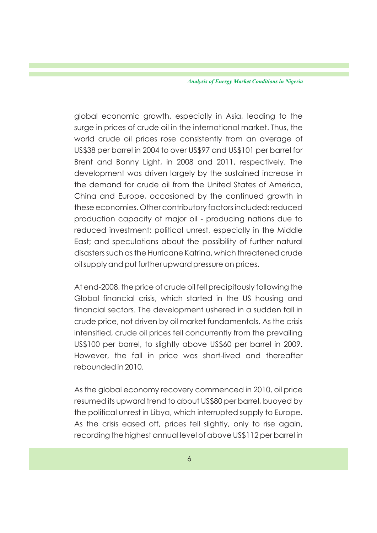global economic growth, especially in Asia, leading to the surge in prices of crude oil in the international market. Thus, the world crude oil prices rose consistently from an average of US\$38 per barrel in 2004 to over US\$97 and US\$101 per barrel for Brent and Bonny Light, in 2008 and 2011, respectively. The development was driven largely by the sustained increase in the demand for crude oil from the United States of America, China and Europe, occasioned by the continued growth in these economies. Other contributory factors included: reduced production capacity of major oil - producing nations due to reduced investment; political unrest, especially in the Middle East; and speculations about the possibility of further natural disasters such as the Hurricane Katrina, which threatened crude oil supply and put further upward pressure on prices.

At end-2008, the price of crude oil fell precipitously following the Global financial crisis, which started in the US housing and financial sectors. The development ushered in a sudden fall in crude price, not driven by oil market fundamentals. As the crisis intensified, crude oil prices fell concurrently from the prevailing US\$100 per barrel, to slightly above US\$60 per barrel in 2009. However, the fall in price was short-lived and thereafter rebounded in 2010.

As the global economy recovery commenced in 2010, oil price resumed its upward trend to about US\$80 per barrel, buoyed by the political unrest in Libya, which interrupted supply to Europe. As the crisis eased off, prices fell slightly, only to rise again, recording the highest annual level of above US\$112 per barrel in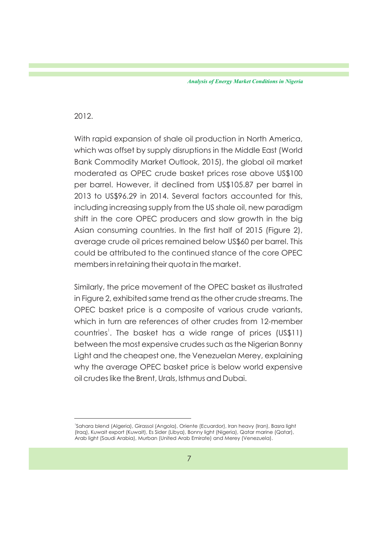#### 2012.

With rapid expansion of shale oil production in North America, which was offset by supply disruptions in the Middle East (World Bank Commodity Market Outlook, 2015), the global oil market moderated as OPEC crude basket prices rose above US\$100 per barrel. However, it declined from US\$105.87 per barrel in 2013 to US\$96.29 in 2014. Several factors accounted for this, including increasing supply from the US shale oil, new paradigm shift in the core OPEC producers and slow growth in the big Asian consuming countries. In the first half of 2015 (Figure 2), average crude oil prices remained below US\$60 per barrel. This could be attributed to the continued stance of the core OPEC members in retaining their quota in the market.

Similarly, the price movement of the OPEC basket as illustrated in Figure 2, exhibited same trend as the other crude streams. The OPEC basket price is a composite of various crude variants, which in turn are references of other crudes from 12-member countries<sup>1</sup>. The basket has a wide range of prices (US\$11) between the most expensive crudes such as the Nigerian Bonny Light and the cheapest one, the Venezuelan Merey, explaining why the average OPEC basket price is below world expensive oil crudes like the Brent, Urals, Isthmus and Dubai.

<sup>1</sup> Sahara blend (Algeria), Girassol (Angola), Oriente (Ecuardor), Iran heavy (Iran), Basra light (Iraq), Kuwait export (Kuwait), Es Sider (Libya), Bonny light (Nigeria), Qatar marine (Qatar), Arab light (Saudi Arabia), Murban (United Arab Emirate) and Merey (Venezuela).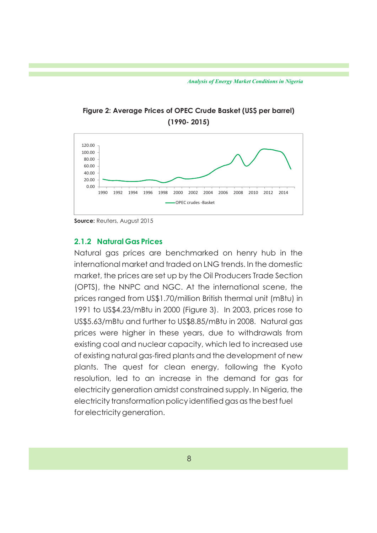0.00 20.00 40.00 60.00 80.00 100.00 120.00 1990 1992 1994 1996 1998 2000 2002 2004 2006 2008 2010 2012 2014 OPEC crudes -Basket

**Figure 2: Average Prices of OPEC Crude Basket (US\$ per barrel) (1990- 2015)**

**Source:** Reuters, August 2015

#### **2.1.2 Natural Gas Prices**

Natural gas prices are benchmarked on henry hub in the international market and traded on LNG trends. In the domestic market, the prices are set up by the Oil Producers Trade Section (OPTS), the NNPC and NGC. At the international scene, the prices ranged from US\$1.70/million British thermal unit (mBtu) in 1991 to US\$4.23/mBtu in 2000 (Figure 3). In 2003, prices rose to US\$5.63/mBtu and further to US\$8.85/mBtu in 2008. Natural gas prices were higher in these years, due to withdrawals from existing coal and nuclear capacity, which led to increased use of existing natural gas-fired plants and the development of new plants. The quest for clean energy, following the Kyoto resolution, led to an increase in the demand for gas for electricity generation amidst constrained supply. In Nigeria, the electricity transformation policy identified gas as the best fuel for electricity generation.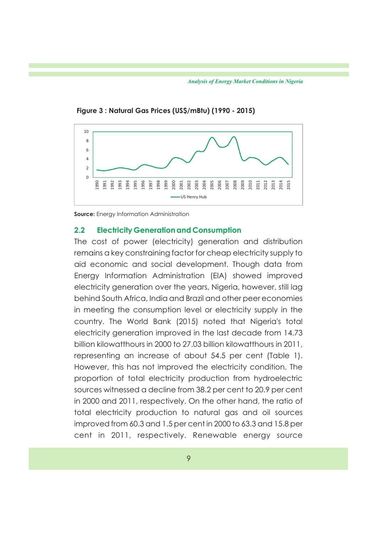

**Figure 3 : Natural Gas Prices (US\$/mBtu) (1990 - 2015)**

**Source:** Energy Information Administration

#### **2.2 Electricity Generation and Consumption**

The cost of power (electricity) generation and distribution remains a key constraining factor for cheap electricity supply to aid economic and social development. Though data from Energy Information Administration (EIA) showed improved electricity generation over the years, Nigeria, however, still lag behind South Africa, India and Brazil and other peer economies in meeting the consumption level or electricity supply in the country. The World Bank (2015) noted that Nigeria's total electricity generation improved in the last decade from 14.73 billion kilowatthours in 2000 to 27.03 billion kilowatthours in 2011, representing an increase of about 54.5 per cent (Table 1). However, this has not improved the electricity condition. The proportion of total electricity production from hydroelectric sources witnessed a decline from 38.2 per cent to 20.9 per cent in 2000 and 2011, respectively. On the other hand, the ratio of total electricity production to natural gas and oil sources improved from 60.3 and 1.5 per cent in 2000 to 63.3 and 15.8 per cent in 2011, respectively. Renewable energy source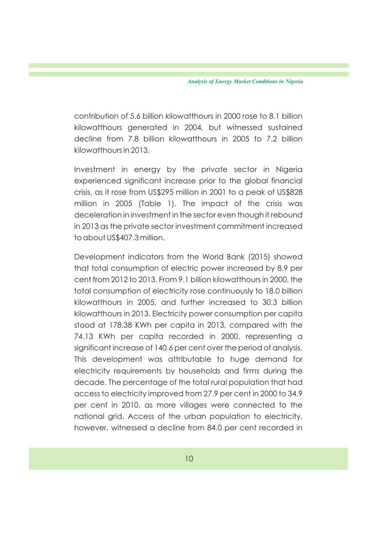contribution of 5.6 billion kilowatthours in 2000 rose to 8.1 billion kilowatthours generated in 2004, but witnessed sustained decline from 7.8 billion kilowatthours in 2005 to 7.2 billion kilowatthours in 2013.

Investment in energy by the private sector in Nigeria experienced significant increase prior to the global financial crisis, as it rose from US\$295 million in 2001 to a peak of US\$828 million in 2005 (Table 1). The impact of the crisis was deceleration in investment in the sector even though it rebound in 2013 as the private sector investment commitment increased to about US\$407.3 million.

Development indicators from the World Bank (2015) showed that total consumption of electric power increased by 8.9 per cent from 2012 to 2013. From 9.1 billion kilowatthours in 2000, the total consumption of electricity rose continuously to 18.0 billion kilowatthours in 2005, and further increased to 30.3 billion kilowatthours in 2013. Electricity power consumption per capita stood at 178.38 KWh per capita in 2013, compared with the 74.13 KWh per capita recorded in 2000, representing a significant increase of 140.6 per cent over the period of analysis. This development was attributable to huge demand for electricity requirements by households and firms during the decade. The percentage of the total rural population that had access to electricity improved from 27.9 per cent in 2000 to 34.9 per cent in 2010, as more villages were connected to the national grid. Access of the urban population to electricity, however, witnessed a decline from 84.0 per cent recorded in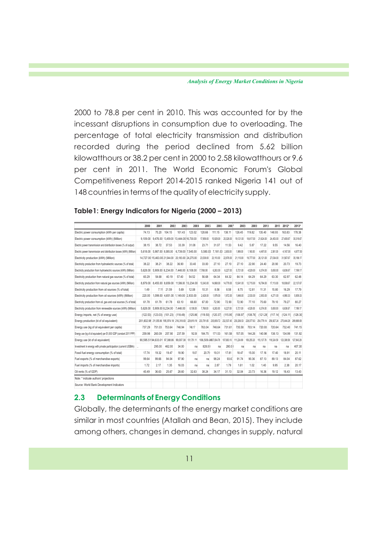2000 to 78.8 per cent in 2010. This was accounted for by the incessant disruptions in consumption due to overloading. The percentage of total electricity transmission and distribution recorded during the period declined from 5.62 billion kilowatthours or 38.2 per cent in 2000 to 2.58 kilowatthours or 9.6 per cent in 2011. The World Economic Forum's Global Competitiveness Report 2014-2015 ranked Nigeria 141 out of 148 countries in terms of the quality of electricity supply.

|  |  |  |  | Table1: Energy Indicators for Nigeria (2000 – 2013) |
|--|--|--|--|-----------------------------------------------------|
|--|--|--|--|-----------------------------------------------------|

|                                                                       | 2000                                        | 2001              | 2002                                   | 2003                | 2004       | 2005                | 2005       | 2007              | 2003       | 2009       | 2010       | 2011       | 2012*      | 2013*      |
|-----------------------------------------------------------------------|---------------------------------------------|-------------------|----------------------------------------|---------------------|------------|---------------------|------------|-------------------|------------|------------|------------|------------|------------|------------|
| Electric power consumption (kWh per capita)                           | 74.13                                       | 75.20             | 104.15                                 | 101.43              | 123.02     | 128.66              | 111.15     | 138.11            | 126.45     | 119.82     | 135.40     | 148.93     | 163.83     | 178.38     |
| Electric power consumption (kWh) (Million)                            | 9.109.00                                    |                   | 9.476.00 13.459.00 13.444.00 16.730.00 |                     |            | 17.959.00           | 15,929.00  | 20.328.00         | 19.121.00  | 18,617.00  | 21.624.00  | 24,453.00  | 27,400.67  | 30.318.67  |
| Electric power transmission and distribution losses (% of output)     | 38.15                                       | 38.72             | 37.53                                  | 33.39               | 31.08      | 23.71               | 31.07      | 11.53             | 9.42       | 5.87       | 17.22      | 9.55       | 14.56      | 16.40      |
| Electric power transmission and distribution losses (kWh) (Million)   | 5,618.00                                    | 5.987.00 8.085.00 |                                        | 6.739.00 7.545.00   |            | 5,580,00            |            | 7.181.00 2.650.00 | 1,989.00   | 1.160.00   | 4,497.00   | 2.581.00   | 4.167.00   | 4.877.50   |
| Electricity production (kWh) (Million)                                | 14.727.00 15.463.00 21.544.00               |                   |                                        | 20.183.00 24.275.00 |            | 23.539.00           | 23.110.00  | 22,978.00         | 21,110.00  | 19,777,00  | 26,121.00  | 27.034.00  | 31,567.67  | 35.196.17  |
| Electricity production from hydroelectric sources (% of total)        | 38.22                                       | 38.21             | 38.22                                  | 36.90               | 33.40      | 33.00               | 27.10      | 27.10             | 27.10      | 22.90      | 24.40      | 20.90      | 20.73      | 19.73      |
| Electricity production from hydroelectric sources (kWh) (Million)     | 5.628.00                                    |                   | 5,909.00 8,234.00                      | 7.448.00 8.108.00   |            | 7.768.00            | 6,263.00   | 6.227.00          | 5.721.00   | 4.529.00   | 6.374.00   | 5,650.00   | 6.638.67   | 7.199.17   |
| Electricity production from natural gas sources (% of total)          | 60.29                                       | 54.68             | 40.19                                  | 57.40               | 54.52      | 56.68               | 64.34      | 64.32             | 64.14      | 64.29      | 64.29      | 63.30      | 62.97      | 62.48      |
| Electricity production from natural gas sources (kWh) (Million)       | 8.879.00                                    |                   | 8.455.00 8.659.00                      | 11,586.00           | 13.234.00  | 13.343.00           | 14,868.00  | 14.779.00         | 13,541.00  | 12.715.00  | 16.794.00  | 17,113.00  | 19.938.67  | 22.137.67  |
| Electricity production from oil sources (% of total)                  | 1.49                                        | 7.11              | 21.59                                  | 5.69                | 12.08      | 10.31               | 8.56       | 8.58              | 8.75       | 12.81      | 11.31      | 15.80      | 16.29      | 17.79      |
| Electricity production from oil sources (kWh) (Million)               | 220.00                                      |                   | 1.099.00 4.651.00 1.149.00 2.933.00    |                     |            | 2.428.00            | 1,979.00   | 1.972.00          | 1,848.00   | 2.533.00   | 2.953.00   | 4.271.00   | 4.990.33   | 5.859.33   |
| Electricity production from oil, gas and coal sources (% of total)    | 61.78                                       | 61.79             | 61.78                                  | 63.10               | 66.60      | 67.00               | 72.90      | 72.90             | 72.90      | 77.10      | 75.60      | 79.10      | 79.27      | 80.27      |
| Electricity production from renewable sources (kWh) (Million)         | 5.628.00                                    | 5.909.00 8.234.00 |                                        | 7.448.00            | 8.108.00   | 7.768.00            | 6.263.00   | 6.227.00          | 5.721.00   | 4,529.00   | 6,374.00   | 5,650.00   | 6,638.67   | 7.199.17   |
| Energy imports, net (% of energy use)                                 | (122.53)                                    |                   | $(123.03)$ $(101.23)$                  | (118.49)            | (125.86)   | (119.50)            | (120.37)   | (115.95)          | (106.97    | (108.76)   | (121.28)   | (117.14)   | (124.11)   | (128.30)   |
| Energy production (kt of oil equivalent)                              | 201.602.98 211.055.86 195.974.18 216.318.83 |                   |                                        |                     | 229.819.19 | 233,791.65          | 235,809.72 | 232.537.45        | 230,206.53 | 228,077,63 | 254,779.14 | 256.927.24 | 275.444.28 | 289.869.08 |
| Energy use (kg of oil equivalent per capita)                          | 737.29                                      | 751.03            | 753.64                                 | 746.94              | 748.17     | 763.04              | 746.64     | 731.61            | 735.58     | 703.14     | 720.93     | 720.64     | 732.40     | 741.15     |
| Energy use (kg of oil equivalent) per \$1,000 GDP (constant 2011 PPP) | 259.98                                      | 260.09            | 257.90                                 | 237.59              | 182.58     | 184.75              | 171.53     | 161.58            | 157.05     | 144.26     | 140.98     | 138.13     | 134.99     | 131.92     |
| Energy use (kt of oil equivalent)                                     | 90.595.5194.633.01                          |                   | 97,388,86                              | 99,007.38           | 101.751.11 | 106.509.4607.004.78 |            | 107.683.10        | 111.224.99 | 109.255.20 | 115.137.78 | 118.324.59 | 123,308.58 | 127.843.28 |
| Investment in energy with private participation (current US\$Mn)      |                                             | 295.00            | 462.00                                 | 34.00               | na         | 828.00              | na         | 280.00            | na         | na         | na         | na         | na         | 407.30     |
| Fossil fuel energy consumption (% of total)                           | 17.74                                       | 19.32             | 19.47                                  | 18.90               | 19.07      | 20.79               | 19.31      | 17.81             | 18.47      | 15.00      | 17.16      | 17.40      | 18.91      | 20.11      |
| Fuel exports (% of merchandise exports)                               | 99.64                                       | 99.66             | 94.04                                  | 97.90               | na         | na                  | 98.24      | 93.67             | 91.74      | 90.36      | 87.13      | 89.13      | 84.04      | 87.62      |
| Fuel imports (% of merchandise imports)                               | 1.72                                        | 2.17              | 1.35                                   | 16.03               | na         | na                  | 2.87       | 1.79              | 1.61       | 1.02       | 1.40       | 9.95       | 2.38       | 20.17      |
| Oil rents (% of GDP)                                                  | 40.49                                       | 36.63             | 25.67                                  | 28.60               | 32.63      | 38.24               | 34.17      | 31.13             | 32.04      | 23.73      | 16.36      | 19.12      | 16.43      | 13.43      |
| Note: * indicate authors' projections                                 |                                             |                   |                                        |                     |            |                     |            |                   |            |            |            |            |            |            |
| Source: World Bank Development Indicators                             |                                             |                   |                                        |                     |            |                     |            |                   |            |            |            |            |            |            |

#### **2.3 Determinants of Energy Conditions**

Globally, the determinants of the energy market conditions are similar in most countries (Atallah and Bean, 2015). They include among others, changes in demand, changes in supply, natural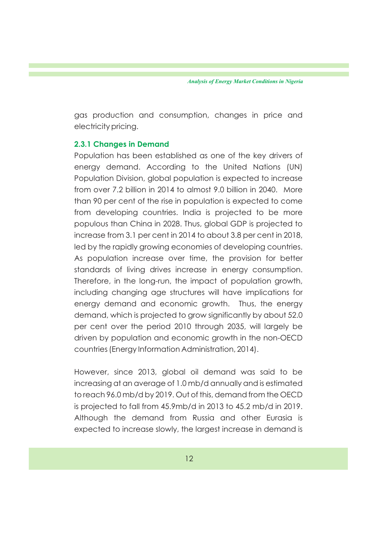gas production and consumption, changes in price and electricity pricing.

#### **2.3.1 Changes in Demand**

Population has been established as one of the key drivers of energy demand. According to the United Nations (UN) Population Division, global population is expected to increase from over 7.2 billion in 2014 to almost 9.0 billion in 2040. More than 90 per cent of the rise in population is expected to come from developing countries. India is projected to be more populous than China in 2028. Thus, global GDP is projected to increase from 3.1 per cent in 2014 to about 3.8 per cent in 2018, led by the rapidly growing economies of developing countries. As population increase over time, the provision for better standards of living drives increase in energy consumption. Therefore, in the long-run, the impact of population growth, including changing age structures will have implications for energy demand and economic growth. Thus, the energy demand, which is projected to grow significantly by about 52.0 per cent over the period 2010 through 2035, will largely be driven by population and economic growth in the non-OECD countries (Energy Information Administration, 2014).

However, since 2013, global oil demand was said to be increasing at an average of 1.0 mb/d annually and is estimated to reach 96.0 mb/d by 2019. Out of this, demand from the OECD is projected to fall from 45.9mb/d in 2013 to 45.2 mb/d in 2019. Although the demand from Russia and other Eurasia is expected to increase slowly, the largest increase in demand is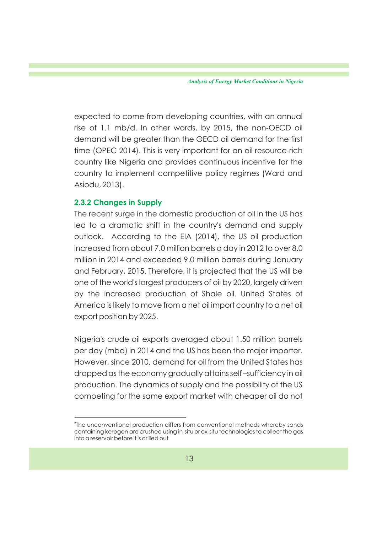expected to come from developing countries, with an annual rise of 1.1 mb/d. In other words, by 2015, the non-OECD oil demand will be greater than the OECD oil demand for the first time (OPEC 2014). This is very important for an oil resource-rich country like Nigeria and provides continuous incentive for the country to implement competitive policy regimes (Ward and Asiodu, 2013).

#### **2.3.2 Changes in Supply**

The recent surge in the domestic production of oil in the US has led to a dramatic shift in the country's demand and supply outlook. According to the EIA (2014), the US oil production increased from about 7.0 million barrels a day in 2012 to over 8.0 million in 2014 and exceeded 9.0 million barrels during January and February, 2015. Therefore, it is projected that the US will be one of the world's largest producers of oil by 2020, largely driven by the increased production of Shale oil. United States of America is likely to move from a net oil import country to a net oil export position by 2025.

Nigeria's crude oil exports averaged about 1.50 million barrels per day (mbd) in 2014 and the US has been the major importer. However, since 2010, demand for oil from the United States has dropped as the economy gradually attains self –sufficiency in oil production. The dynamics of supply and the possibility of the US competing for the same export market with cheaper oil do not

<sup>2</sup> The unconventional production differs from conventional methods whereby sands containing kerogen are crushed using in-situ or ex-situ technologies to collect the gas into a reservoir before it is drilled out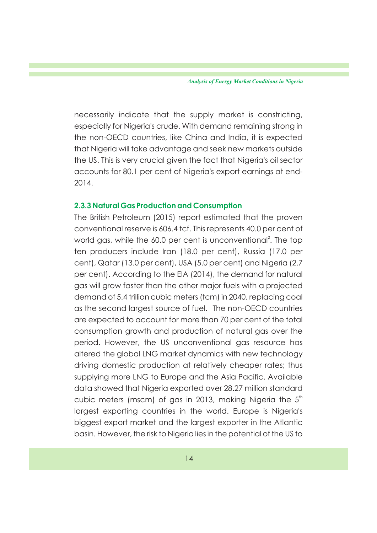necessarily indicate that the supply market is constricting, especially for Nigeria's crude. With demand remaining strong in the non-OECD countries, like China and India, it is expected that Nigeria will take advantage and seek new markets outside the US. This is very crucial given the fact that Nigeria's oil sector accounts for 80.1 per cent of Nigeria's export earnings at end-2014.

#### **2.3.3 Natural Gas Production and Consumption**

The British Petroleum (2015) report estimated that the proven conventional reserve is 606.4 tcf. This represents 40.0 per cent of world gas, while the 60.0 per cent is unconventional<sup>2</sup>. The top ten producers include Iran (18.0 per cent), Russia (17.0 per cent), Qatar (13.0 per cent), USA (5.0 per cent) and Nigeria (2.7 per cent). According to the EIA (2014), the demand for natural gas will grow faster than the other major fuels with a projected demand of 5.4 trillion cubic meters (tcm) in 2040, replacing coal as the second largest source of fuel. The non-OECD countries are expected to account for more than 70 per cent of the total consumption growth and production of natural gas over the period. However, the US unconventional gas resource has altered the global LNG market dynamics with new technology driving domestic production at relatively cheaper rates; thus supplying more LNG to Europe and the Asia Pacific. Available data showed that Nigeria exported over 28.27 million standard cubic meters (mscm) of gas in 2013, making Nigeria the  $5<sup>th</sup>$ largest exporting countries in the world. Europe is Nigeria's biggest export market and the largest exporter in the Atlantic basin. However, the risk to Nigeria lies in the potential of the US to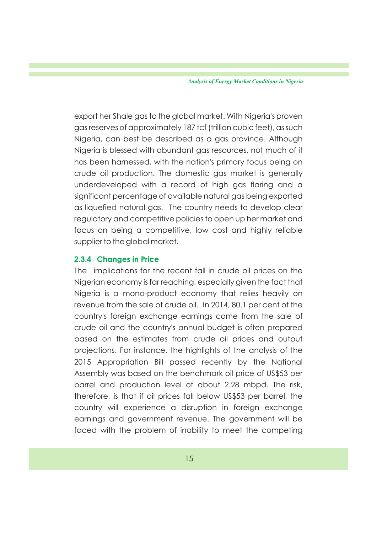export her Shale gas to the global market. With Nigeria's proven gas reserves of approximately 187 tcf (trillion cubic feet), as such Nigeria, can best be described as a gas province. Although Nigeria is blessed with abundant gas resources, not much of it has been harnessed, with the nation's primary focus being on crude oil production. The domestic gas market is generally underdeveloped with a record of high gas flaring and a significant percentage of available natural gas being exported as liquefied natural gas. The country needs to develop clear regulatory and competitive policies to open up her market and focus on being a competitive, low cost and highly reliable supplier to the global market.

#### **2.3.4 Changes in Price**

The implications for the recent fall in crude oil prices on the Nigerian economy is far reaching, especially given the fact that Nigeria is a mono-product economy that relies heavily on revenue from the sale of crude oil. In 2014, 80.1 per cent of the country's foreign exchange earnings come from the sale of crude oil and the country's annual budget is often prepared based on the estimates from crude oil prices and output projections. For instance, the highlights of the analysis of the 2015 Appropriation Bill passed recently by the National Assembly was based on the benchmark oil price of US\$53 per barrel and production level of about 2.28 mbpd. The risk, therefore, is that if oil prices fall below US\$53 per barrel, the country will experience a disruption in foreign exchange earnings and government revenue. The government will be faced with the problem of inability to meet the competing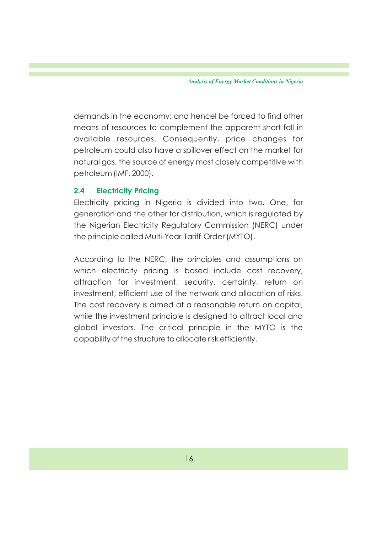demands in the economy; and hencel be forced to find other means of resources to complement the apparent short fall in available resources. Consequently, price changes for petroleum could also have a spillover effect on the market for natural gas, the source of energy most closely competitive with petroleum (IMF, 2000).

#### **2.4 Electricity Pricing**

Electricity pricing in Nigeria is divided into two. One, for generation and the other for distribution, which is regulated by the Nigerian Electricity Regulatory Commission (NERC) under the principle called Multi-Year-Tariff-Order (MYTO).

According to the NERC, the principles and assumptions on which electricity pricing is based include cost recovery, attraction for investment, security, certainty, return on investment, efficient use of the network and allocation of risks. The cost recovery is aimed at a reasonable return on capital, while the investment principle is designed to attract local and global investors. The critical principle in the MYTO is the capability of the structure to allocate risk efficiently.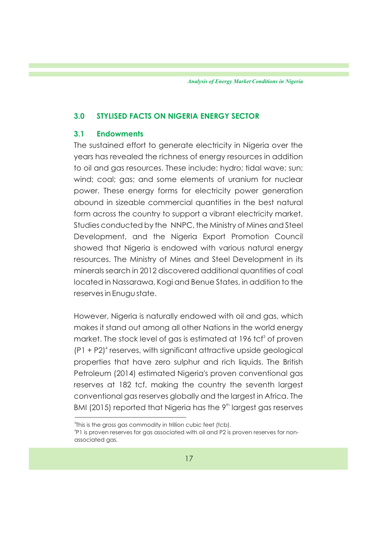#### **3.0 STYLISED FACTS ON NIGERIA ENERGY SECTOR**

#### **3.1 Endowments**

The sustained effort to generate electricity in Nigeria over the years has revealed the richness of energy resources in addition to oil and gas resources. These include: hydro; tidal wave; sun; wind; coal; gas; and some elements of uranium for nuclear power. These energy forms for electricity power generation abound in sizeable commercial quantities in the best natural form across the country to support a vibrant electricity market. Studies conducted by the NNPC, the Ministry of Mines and Steel Development, and the Nigeria Export Promotion Council showed that Nigeria is endowed with various natural energy resources. The Ministry of Mines and Steel Development in its minerals search in 2012 discovered additional quantities of coal located in Nassarawa, Kogi and Benue States, in addition to the reserves in Enugu state.

However, Nigeria is naturally endowed with oil and gas, which makes it stand out among all other Nations in the world energy market. The stock level of gas is estimated at  $196$  tcf<sup>3</sup> of proven (P1 + P2)<sup>4</sup> reserves, with significant attractive upside geological properties that have zero sulphur and rich liquids. The British Petroleum (2014) estimated Nigeria's proven conventional gas reserves at 182 tcf, making the country the seventh largest conventional gas reserves globally and the largest in Africa. The BMI (2015) reported that Nigeria has the  $9<sup>th</sup>$  largest gas reserves

 $^3$ This is the gross gas commodity in trillion cubic feet (tcb).

<sup>4</sup> P1 is proven reserves for gas associated with oil and P2 is proven reserves for nonassociated gas.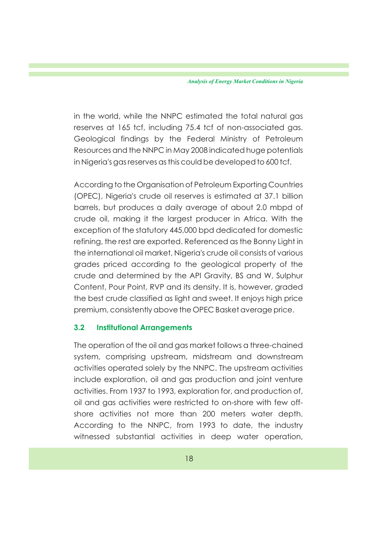in the world, while the NNPC estimated the total natural gas reserves at 165 tcf, including 75.4 tcf of non-associated gas. Geological findings by the Federal Ministry of Petroleum Resources and the NNPC in May 2008 indicated huge potentials in Nigeria's gas reserves as this could be developed to 600 tcf.

According to the Organisation of Petroleum Exporting Countries (OPEC), Nigeria's crude oil reserves is estimated at 37.1 billion barrels, but produces a daily average of about 2.0 mbpd of crude oil, making it the largest producer in Africa. With the exception of the statutory 445,000 bpd dedicated for domestic refining, the rest are exported. Referenced as the Bonny Light in the international oil market, Nigeria's crude oil consists of various grades priced according to the geological property of the crude and determined by the API Gravity, BS and W, Sulphur Content, Pour Point, RVP and its density. It is, however, graded the best crude classified as light and sweet. It enjoys high price premium, consistently above the OPEC Basket average price.

#### **3.2 Institutional Arrangements**

The operation of the oil and gas market follows a three-chained system, comprising upstream, midstream and downstream activities operated solely by the NNPC. The upstream activities include exploration, oil and gas production and joint venture activities. From 1937 to 1993, exploration for, and production of, oil and gas activities were restricted to on-shore with few offshore activities not more than 200 meters water depth. According to the NNPC, from 1993 to date, the industry witnessed substantial activities in deep water operation,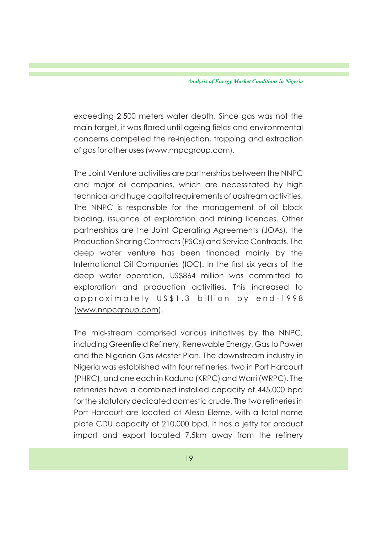exceeding 2,500 meters water depth. Since gas was not the main target, it was flared until ageing fields and environmental concerns compelled the re-injection, trapping and extraction of gas for other uses (www.nnpcgroup.com).

The Joint Venture activities are partnerships between the NNPC and major oil companies, which are necessitated by high technical and huge capital requirements of upstream activities. The NNPC is responsible for the management of oil block bidding, issuance of exploration and mining licences. Other partnerships are the Joint Operating Agreements (JOAs), the Production Sharing Contracts (PSCs) and Service Contracts. The deep water venture has been financed mainly by the International Oil Companies (IOC). In the first six years of the deep water operation, US\$864 million was committed to exploration and production activities. This increased to approximately US\$1.3 billion by end-1998 (www.nnpcgroup.com).

The mid-stream comprised various initiatives by the NNPC, including Greenfield Refinery, Renewable Energy, Gas to Power and the Nigerian Gas Master Plan. The downstream industry in Nigeria was established with four refineries, two in Port Harcourt (PHRC), and one each in Kaduna (KRPC) and Warri (WRPC). The refineries have a combined installed capacity of 445,000 bpd for the statutory dedicated domestic crude. The two refineries in Port Harcourt are located at Alesa Eleme, with a total name plate CDU capacity of 210,000 bpd. It has a jetty for product import and export located 7.5km away from the refinery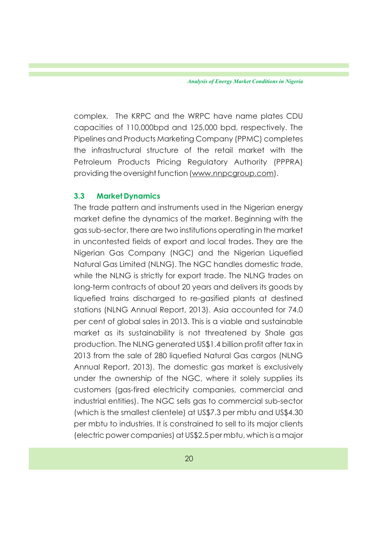complex. The KRPC and the WRPC have name plates CDU capacities of 110,000bpd and 125,000 bpd, respectively. The Pipelines and Products Marketing Company (PPMC) completes the infrastructural structure of the retail market with the Petroleum Products Pricing Regulatory Authority (PPPRA) providing the oversight function (www.nnpcgroup.com).

#### **3.3 Market Dynamics**

The trade pattern and instruments used in the Nigerian energy market define the dynamics of the market. Beginning with the gas sub-sector, there are two institutions operating in the market in uncontested fields of export and local trades. They are the Nigerian Gas Company (NGC) and the Nigerian Liquefied Natural Gas Limited (NLNG). The NGC handles domestic trade, while the NLNG is strictly for export trade. The NLNG trades on long-term contracts of about 20 years and delivers its goods by liquefied trains discharged to re-gasified plants at destined stations (NLNG Annual Report, 2013). Asia accounted for 74.0 per cent of global sales in 2013. This is a viable and sustainable market as its sustainability is not threatened by Shale gas production. The NLNG generated US\$1.4 billion profit after tax in 2013 from the sale of 280 liquefied Natural Gas cargos (NLNG Annual Report, 2013). The domestic gas market is exclusively under the ownership of the NGC, where it solely supplies its customers (gas-fired electricity companies, commercial and industrial entities). The NGC sells gas to commercial sub-sector (which is the smallest clientele) at US\$7.3 per mbtu and US\$4.30 per mbtu to industries. It is constrained to sell to its major clients (electric power companies) at US\$2.5 per mbtu, which is a major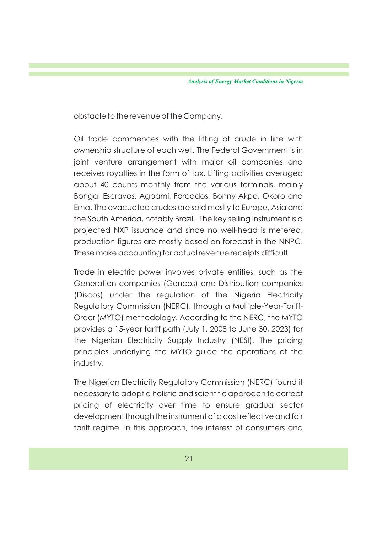obstacle to the revenue of the Company.

Oil trade commences with the lifting of crude in line with ownership structure of each well. The Federal Government is in joint venture arrangement with major oil companies and receives royalties in the form of tax. Lifting activities averaged about 40 counts monthly from the various terminals, mainly Bonga, Escravos, Agbami, Forcados, Bonny Akpo, Okoro and Erha. The evacuated crudes are sold mostly to Europe, Asia and the South America, notably Brazil. The key selling instrument is a projected NXP issuance and since no well-head is metered, production figures are mostly based on forecast in the NNPC. These make accounting for actual revenue receipts difficult.

Trade in electric power involves private entities, such as the Generation companies (Gencos) and Distribution companies (Discos) under the regulation of the Nigeria Electricity Regulatory Commission (NERC), through a Multiple-Year-Tariff-Order (MYTO) methodology. According to the NERC, the MYTO provides a 15-year tariff path (July 1, 2008 to June 30, 2023) for the Nigerian Electricity Supply Industry (NESI). The pricing principles underlying the MYTO guide the operations of the industry.

The Nigerian Electricity Regulatory Commission (NERC) found it necessary to adopt a holistic and scientific approach to correct pricing of electricity over time to ensure gradual sector development through the instrument of a cost reflective and fair tariff regime. In this approach, the interest of consumers and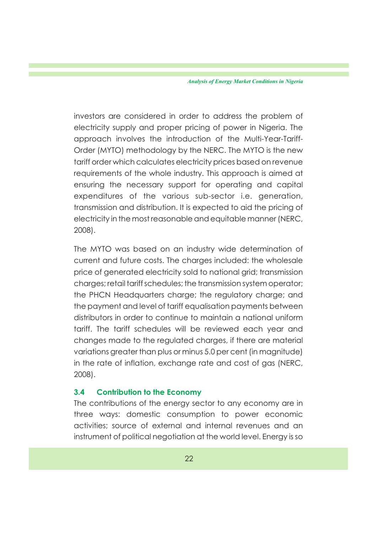investors are considered in order to address the problem of electricity supply and proper pricing of power in Nigeria. The approach involves the introduction of the Multi-Year-Tariff-Order (MYTO) methodology by the NERC. The MYTO is the new tariff order which calculates electricity prices based on revenue requirements of the whole industry. This approach is aimed at ensuring the necessary support for operating and capital expenditures of the various sub-sector i.e. generation, transmission and distribution. It is expected to aid the pricing of electricity in the most reasonable and equitable manner (NERC, 2008).

The MYTO was based on an industry wide determination of current and future costs. The charges included: the wholesale price of generated electricity sold to national grid; transmission charges; retail tariff schedules; the transmission system operator; the PHCN Headquarters charge; the regulatory charge; and the payment and level of tariff equalisation payments between distributors in order to continue to maintain a national uniform tariff. The tariff schedules will be reviewed each year and changes made to the regulated charges, if there are material variations greater than plus or minus 5.0 per cent (in magnitude) in the rate of inflation, exchange rate and cost of gas (NERC, 2008).

#### **3.4 Contribution to the Economy**

The contributions of the energy sector to any economy are in three ways: domestic consumption to power economic activities; source of external and internal revenues and an instrument of political negotiation at the world level. Energy is so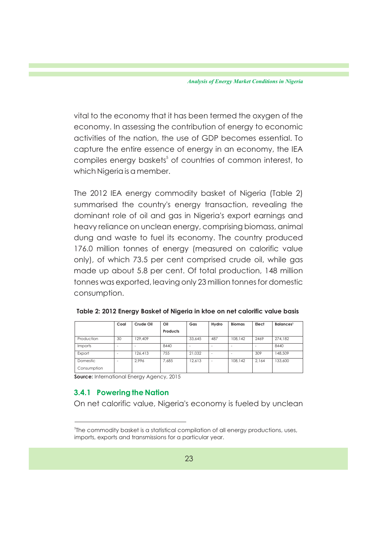vital to the economy that it has been termed the oxygen of the economy. In assessing the contribution of energy to economic activities of the nation, the use of GDP becomes essential. To capture the entire essence of energy in an economy, the IEA compiles energy baskets<sup>5</sup> of countries of common interest, to which Nigeria is a member.

The 2012 IEA energy commodity basket of Nigeria (Table 2) summarised the country's energy transaction, revealing the dominant role of oil and gas in Nigeria's export earnings and heavy reliance on unclean energy, comprising biomass, animal dung and waste to fuel its economy. The country produced 176.0 million tonnes of energy (measured on calorific value only), of which 73.5 per cent comprised crude oil, while gas made up about 5.8 per cent. Of total production, 148 million tonnes was exported, leaving only 23 million tonnes for domestic consumption.

|             | Coal                     | Crude Oil | Oil      | Gas    | Hydro | <b>Biomas</b>            | Elect | Balances <sup>1</sup> |
|-------------|--------------------------|-----------|----------|--------|-------|--------------------------|-------|-----------------------|
|             |                          |           | Products |        |       |                          |       |                       |
| Production  | 30                       | 129,409   |          | 33,645 | 487   | 108,142                  | 2469  | 274.182               |
| Imports     | $\overline{\phantom{0}}$ | -         | 8440     | -      | -     | $\overline{\phantom{a}}$ |       | 8440                  |
| Export      | $\overline{\phantom{0}}$ | 126,413   | 755      | 21.032 | -     | -                        | 309   | 148,509               |
| Domestic    | -                        | 2.996     | 7.685    | 12.613 | -     | 108,142                  | 2.164 | 133,600               |
| Consumption |                          |           |          |        |       |                          |       |                       |

**Source:** International Energy Agency, 2015

#### **3.4.1 Powering the Nation**

On net calorific value, Nigeria's economy is fueled by unclean

<sup>5</sup> The commodity basket is a statistical compilation of all energy productions, uses, imports, exports and transmissions for a particular year.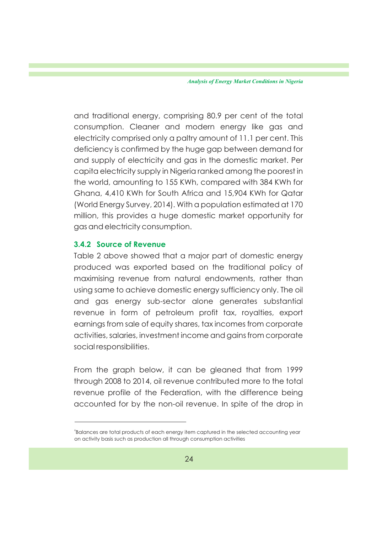and traditional energy, comprising 80.9 per cent of the total consumption. Cleaner and modern energy like gas and electricity comprised only a paltry amount of 11.1 per cent. This deficiency is confirmed by the huge gap between demand for and supply of electricity and gas in the domestic market. Per capita electricity supply in Nigeria ranked among the poorest in the world, amounting to 155 KWh, compared with 384 KWh for Ghana, 4,410 KWh for South Africa and 15,904 KWh for Qatar (World Energy Survey, 2014). With a population estimated at 170 million, this provides a huge domestic market opportunity for gas and electricity consumption.

#### **3.4.2 Source of Revenue**

Table 2 above showed that a major part of domestic energy produced was exported based on the traditional policy of maximising revenue from natural endowments, rather than using same to achieve domestic energy sufficiency only. The oil and gas energy sub-sector alone generates substantial revenue in form of petroleum profit tax, royalties, export earnings from sale of equity shares, tax incomes from corporate activities, salaries, investment income and gains from corporate social responsibilities.

From the graph below, it can be gleaned that from 1999 through 2008 to 2014, oil revenue contributed more to the total revenue profile of the Federation, with the difference being accounted for by the non-oil revenue. In spite of the drop in

<sup>6</sup> Balances are total products of each energy item captured in the selected accounting year on activity basis such as production all through consumption activities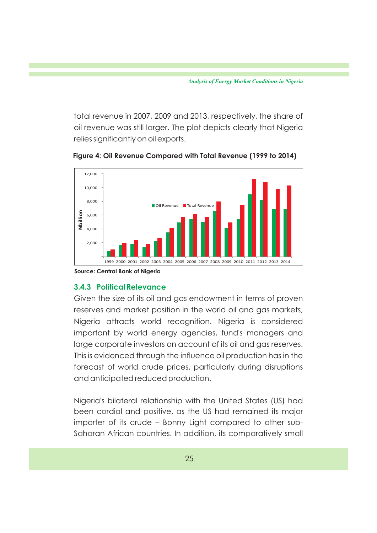total revenue in 2007, 2009 and 2013, respectively, the share of oil revenue was still larger. The plot depicts clearly that Nigeria relies significantly on oil exports.



**Figure 4: Oil Revenue Compared with Total Revenue (1999 to 2014)**

**Source: Central Bank of Nigeria**

#### **3.4.3 Political Relevance**

Given the size of its oil and gas endowment in terms of proven reserves and market position in the world oil and gas markets, Nigeria attracts world recognition. Nigeria is considered important by world energy agencies, fund's managers and large corporate investors on account of its oil and gas reserves. This is evidenced through the influence oil production has in the forecast of world crude prices, particularly during disruptions and anticipated reduced production.

Nigeria's bilateral relationship with the United States (US) had been cordial and positive, as the US had remained its major importer of its crude – Bonny Light compared to other sub-Saharan African countries. In addition, its comparatively small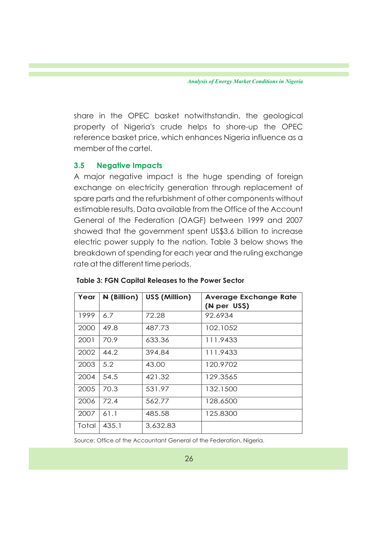share in the OPEC basket notwithstandin, the geological property of Nigeria's crude helps to shore-up the OPEC reference basket price, which enhances Nigeria influence as a member of the cartel.

#### **3.5 Negative Impacts**

A major negative impact is the huge spending of foreign exchange on electricity generation through replacement of spare parts and the refurbishment of other components without estimable results. Data available from the Office of the Account General of the Federation (OAGF) between 1999 and 2007 showed that the government spent US\$3.6 billion to increase electric power supply to the nation. Table 3 below shows the breakdown of spending for each year and the ruling exchange rate at the different time periods.

| Year  | N (Billion) | US\$ (Million) | <b>Average Exchange Rate</b><br>(N per US\$) |
|-------|-------------|----------------|----------------------------------------------|
| 1999  | 6.7         | 72.28          | 92.6934                                      |
| 2000  | 49.8        | 487.73         | 102.1052                                     |
| 2001  | 70.9        | 633.36         | 111.9433                                     |
| 2002  | 44.2        | 394.84         | 111.9433                                     |
| 2003  | 5.2         | 43.00          | 120.9702                                     |
| 2004  | 54.5        | 421.32         | 129.3565                                     |
| 2005  | 70.3        | 531.97         | 132.1500                                     |
| 2006  | 72.4        | 562.77         | 128.6500                                     |
| 2007  | 61.1        | 485.58         | 125.8300                                     |
| Total | 435.1       | 3,632.83       |                                              |

#### **Table 3: FGN Capital Releases to the Power Sector**

Source: Office of the Accountant General of the Federation, Nigeria.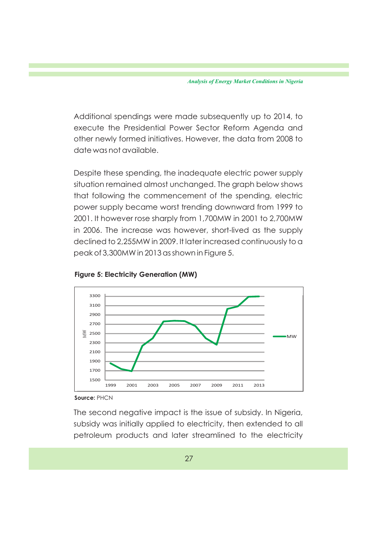Additional spendings were made subsequently up to 2014, to execute the Presidential Power Sector Reform Agenda and other newly formed initiatives. However, the data from 2008 to date was not available.

Despite these spending, the inadequate electric power supply situation remained almost unchanged. The graph below shows that following the commencement of the spending, electric power supply became worst trending downward from 1999 to 2001. It however rose sharply from 1,700MW in 2001 to 2,700MW in 2006. The increase was however, short-lived as the supply declined to 2,255MW in 2009. It later increased continuously to a peak of 3,300MW in 2013 as shown in Figure 5.



#### **Figure 5: Electricity Generation (MW)**

The second negative impact is the issue of subsidy. In Nigeria, subsidy was initially applied to electricity, then extended to all petroleum products and later streamlined to the electricity

**Source:** PHCN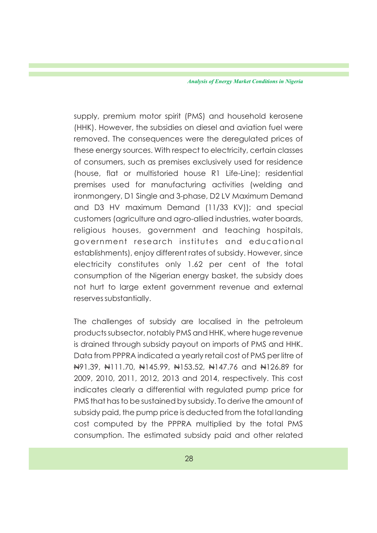supply, premium motor spirit (PMS) and household kerosene (HHK). However, the subsidies on diesel and aviation fuel were removed. The consequences were the deregulated prices of these energy sources. With respect to electricity, certain classes of consumers, such as premises exclusively used for residence (house, flat or multistoried house R1 Life-Line); residential premises used for manufacturing activities (welding and ironmongery, D1 Single and 3-phase, D2 LV Maximum Demand and D3 HV maximum Demand (11/33 KV)); and special customers (agriculture and agro-allied industries, water boards, religious houses, government and teaching hospitals, government research institutes and educational establishments), enjoy different rates of subsidy. However, since electricity constitutes only 1.62 per cent of the total consumption of the Nigerian energy basket, the subsidy does not hurt to large extent government revenue and external reserves substantially.

The challenges of subsidy are localised in the petroleum products subsector, notably PMS and HHK, where huge revenue is drained through subsidy payout on imports of PMS and HHK. Data from PPPRA indicated a yearly retail cost of PMS per litre of N91.39, N111.70, N145.99, N153.52, N147.76 and N126.89 for 2009, 2010, 2011, 2012, 2013 and 2014, respectively. This cost indicates clearly a differential with regulated pump price for PMS that has to be sustained by subsidy. To derive the amount of subsidy paid, the pump price is deducted from the total landing cost computed by the PPPRA multiplied by the total PMS consumption. The estimated subsidy paid and other related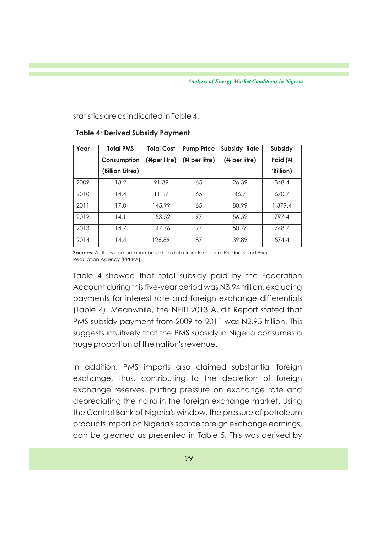statistics are as indicated in Table 4.

| Year | <b>Total PMS</b> | <b>Total Cost</b> | <b>Pump Price</b> | <b>Subsidy Rate</b> | Subsidy   |
|------|------------------|-------------------|-------------------|---------------------|-----------|
|      | Consumption      | (Neer litre)      | (N per litre)     | (N per litre)       | Paid (N   |
|      | (Billion Litres) |                   |                   |                     | 'Billion) |
| 2009 | 13.2             | 91.39             | 65                | 26.39               | 348.4     |
| 2010 | 14.4             | 111.7             | 65                | 46.7                | 670.7     |
| 2011 | 17.0             | 145.99            | 65                | 80.99               | 1,379.4   |
| 2012 | 14.1             | 153.52            | 97                | 56.52               | 797.4     |
| 2013 | 14.7             | 147.76            | 97                | 50.76               | 748.7     |
| 2014 | 14.4             | 126.89            | 87                | 39.89               | 574.4     |

**Table 4: Derived Subsidy Payment**

**Sources:** Authors computation based on data from Petroleum Products and Price Regulation Agency (PPPRA).

Table 4 showed that total subsidy paid by the Federation Account during this five-year period was N3.94 trillion, excluding payments for interest rate and foreign exchange differentials (Table 4). Meanwhile, the NEITI 2013 Audit Report stated that PMS subsidy payment from 2009 to 2011 was N2.95 trillion. This suggests intuitively that the PMS subsidy in Nigeria consumes a huge proportion of the nation's revenue.

In addition, PMS imports also claimed substantial foreign exchange, thus, contributing to the depletion of foreign exchange reserves, putting pressure on exchange rate and depreciating the naira in the foreign exchange market. Using the Central Bank of Nigeria's window, the pressure of petroleum products import on Nigeria's scarce foreign exchange earnings, can be gleaned as presented in Table 5. This was derived by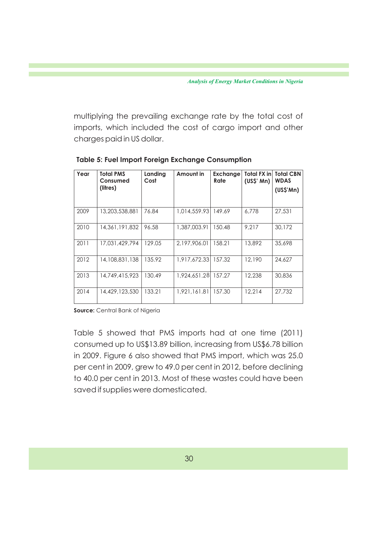multiplying the prevailing exchange rate by the total cost of imports, which included the cost of cargo import and other charges paid in US dollar.

| Year | <b>Total PMS</b><br>Consumed<br>(litres) | Landing<br>Cost | Amount in    | <b>Exchange</b><br>Rate | <b>Total FX inl</b><br>(US <sup>5</sup> ' Mn) | <b>Total CBN</b><br><b>WDAS</b><br>(US\$'Mn) |
|------|------------------------------------------|-----------------|--------------|-------------------------|-----------------------------------------------|----------------------------------------------|
| 2009 | 13,203,538,881                           | 76.84           | 1.014.559.93 | 149.69                  | 6.778                                         | 27,531                                       |
| 2010 | 14,361,191,832                           | 96.58           | 1,387,003.91 | 150.48                  | 9.217                                         | 30,172                                       |
| 2011 | 17,031,429,794                           | 129.05          | 2,197,906.01 | 158.21                  | 13,892                                        | 35,698                                       |
| 2012 | 14,108,831,138                           | 135.92          | 1,917,672.33 | 157.32                  | 12,190                                        | 24,627                                       |
| 2013 | 14,749,415,923                           | 130.49          | 1,924,651.28 | 157.27                  | 12,238                                        | 30,836                                       |
| 2014 | 14,429,123,530                           | 133.21          | 1,921,161.81 | 157.30                  | 12.214                                        | 27,732                                       |

**Table 5: Fuel Import Foreign Exchange Consumption**

**Source: Central Bank of Nigeria** 

Table 5 showed that PMS imports had at one time (2011) consumed up to US\$13.89 billion, increasing from US\$6.78 billion in 2009. Figure 6 also showed that PMS import, which was 25.0 per cent in 2009, grew to 49.0 per cent in 2012, before declining to 40.0 per cent in 2013. Most of these wastes could have been saved if supplies were domesticated.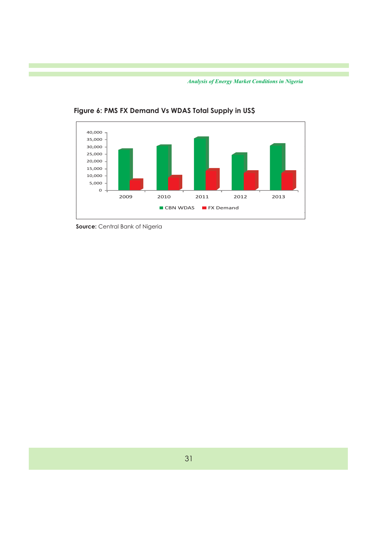

**Figure 6: PMS FX Demand Vs WDAS Total Supply in US\$**

**Source:** Central Bank of Nigeria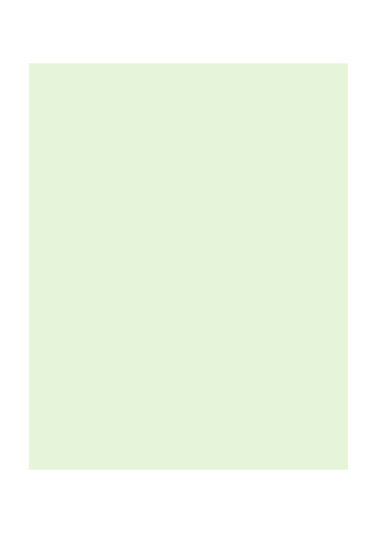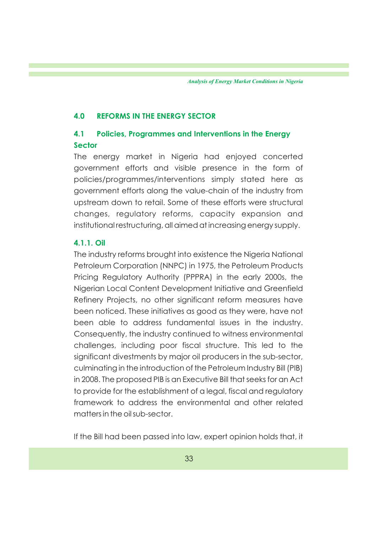### **4.0 REFORMS IN THE ENERGY SECTOR**

# **4.1 Policies, Programmes and Interventions in the Energy Sector**

The energy market in Nigeria had enjoyed concerted government efforts and visible presence in the form of policies/programmes/interventions simply stated here as government efforts along the value-chain of the industry from upstream down to retail. Some of these efforts were structural changes, regulatory reforms, capacity expansion and institutional restructuring, all aimed at increasing energy supply.

### **4.1.1. Oil**

The industry reforms brought into existence the Nigeria National Petroleum Corporation (NNPC) in 1975, the Petroleum Products Pricing Regulatory Authority (PPPRA) in the early 2000s, the Nigerian Local Content Development Initiative and Greenfield Refinery Projects, no other significant reform measures have been noticed. These initiatives as good as they were, have not been able to address fundamental issues in the industry. Consequently, the industry continued to witness environmental challenges, including poor fiscal structure. This led to the significant divestments by major oil producers in the sub-sector, culminating in the introduction of the Petroleum Industry Bill (PIB) in 2008. The proposed PIB is an Executive Bill that seeks for an Act to provide for the establishment of a legal, fiscal and regulatory framework to address the environmental and other related matters in the oil sub-sector.

If the Bill had been passed into law, expert opinion holds that, it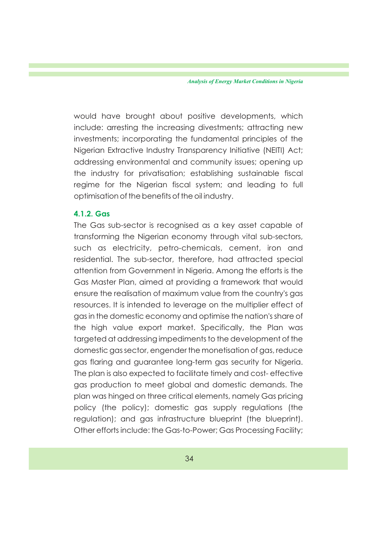would have brought about positive developments, which include: arresting the increasing divestments; attracting new investments; incorporating the fundamental principles of the Nigerian Extractive Industry Transparency Initiative (NEITI) Act; addressing environmental and community issues; opening up the industry for privatisation; establishing sustainable fiscal regime for the Nigerian fiscal system; and leading to full optimisation of the benefits of the oil industry.

### **4.1.2. Gas**

The Gas sub-sector is recognised as a key asset capable of transforming the Nigerian economy through vital sub-sectors, such as electricity, petro-chemicals, cement, iron and residential. The sub-sector, therefore, had attracted special attention from Government in Nigeria. Among the efforts is the Gas Master Plan, aimed at providing a framework that would ensure the realisation of maximum value from the country's gas resources. It is intended to leverage on the multiplier effect of gas in the domestic economy and optimise the nation's share of the high value export market. Specifically, the Plan was targeted at addressing impediments to the development of the domestic gas sector, engender the monetisation of gas, reduce gas flaring and guarantee long-term gas security for Nigeria. The plan is also expected to facilitate timely and cost- effective gas production to meet global and domestic demands. The plan was hinged on three critical elements, namely Gas pricing policy (the policy); domestic gas supply regulations (the regulation); and gas infrastructure blueprint (the blueprint). Other efforts include: the Gas-to-Power; Gas Processing Facility;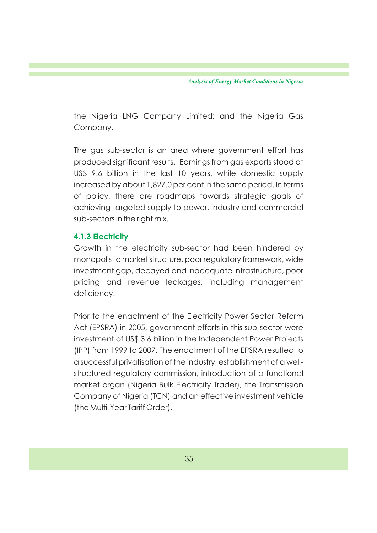the Nigeria LNG Company Limited; and the Nigeria Gas Company.

The gas sub-sector is an area where government effort has produced significant results. Earnings from gas exports stood at US\$ 9.6 billion in the last 10 years, while domestic supply increased by about 1,827.0 per cent in the same period. In terms of policy, there are roadmaps towards strategic goals of achieving targeted supply to power, industry and commercial sub-sectors in the right mix.

### **4.1.3 Electricity**

Growth in the electricity sub-sector had been hindered by monopolistic market structure, poor regulatory framework, wide investment gap, decayed and inadequate infrastructure, poor pricing and revenue leakages, including management deficiency.

Prior to the enactment of the Electricity Power Sector Reform Act (EPSRA) in 2005, government efforts in this sub-sector were investment of US\$ 3.6 billion in the Independent Power Projects (IPP) from 1999 to 2007. The enactment of the EPSRA resulted to a successful privatisation of the industry, establishment of a wellstructured regulatory commission, introduction of a functional market organ (Nigeria Bulk Electricity Trader), the Transmission Company of Nigeria (TCN) and an effective investment vehicle (the Multi-Year Tariff Order).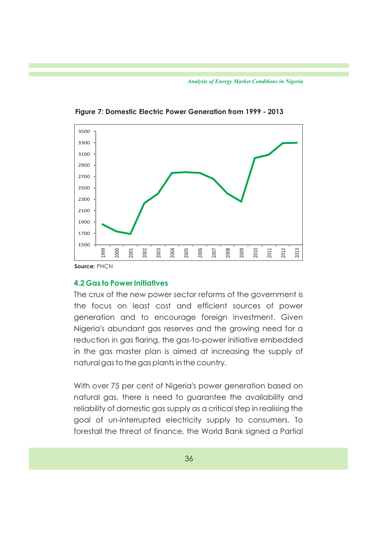

**Figure 7: Domestic Electric Power Generation from 1999 - 2013**

### **4.2 Gas to Power Initiatives**

The crux of the new power sector reforms of the government is the focus on least cost and efficient sources of power generation and to encourage foreign investment. Given Nigeria's abundant gas reserves and the growing need for a reduction in gas flaring, the gas-to-power initiative embedded in the gas master plan is aimed at increasing the supply of natural gas to the gas plants in the country.

With over 75 per cent of Nigeria's power generation based on natural gas, there is need to guarantee the availability and reliability of domestic gas supply as a critical step in realising the goal of un-interrupted electricity supply to consumers. To forestall the threat of finance, the World Bank signed a Partial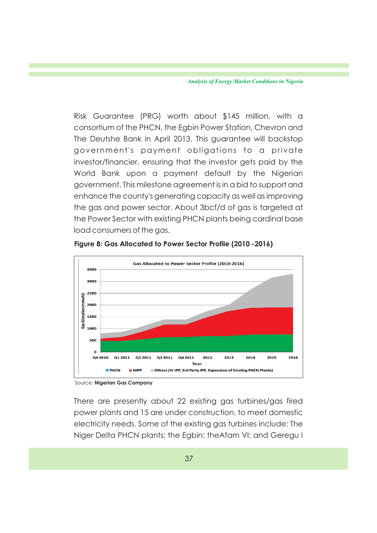Risk Guarantee (PRG) worth about \$145 million, with a consortium of the PHCN, the Egbin Power Station, Chevron and The Deutshe Bank in April 2013. This guarantee will backstop government's payment obligations to a private investor/financier, ensuring that the investor gets paid by the World Bank upon a payment default by the Nigerian government. This milestone agreement is in a bid to support and enhance the county's generating capacity as well as improving the gas and power sector. About 3bcf/d of gas is targeted at the Power Sector with existing PHCN plants being cardinal base load consumers of the gas.



**Figure 8: Gas Allocated to Power Sector Profile (2010 -2016)**

There are presently about 22 existing gas turbines/gas fired power plants and 15 are under construction, to meet domestic electricity needs. Some of the existing gas turbines include: The Niger Delta PHCN plants; the Egbin; theAfam VI; and Geregu I

Source: **Nigerian Gas Company**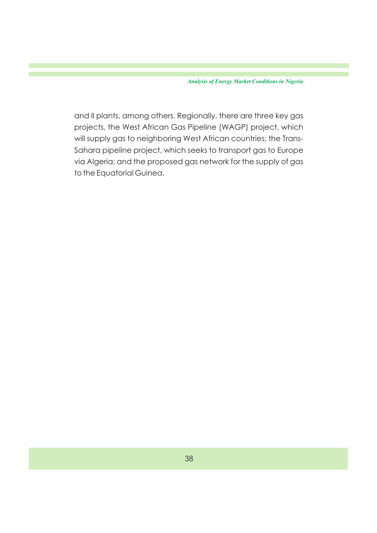and II plants, among others. Regionally, there are three key gas projects, the West African Gas Pipeline (WAGP) project, which will supply gas to neighboring West African countries; the Trans-Sahara pipeline project, which seeks to transport gas to Europe via Algeria; and the proposed gas network for the supply of gas to the Equatorial Guinea.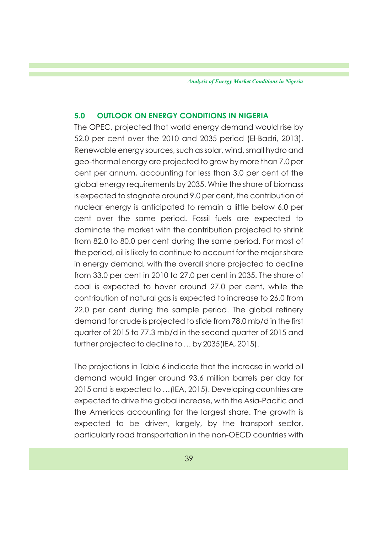### **5.0 OUTLOOK ON ENERGY CONDITIONS IN NIGERIA**

The OPEC, projected that world energy demand would rise by 52.0 per cent over the 2010 and 2035 period (El-Badri, 2013). Renewable energy sources, such as solar, wind, small hydro and geo-thermal energy are projected to grow by more than 7.0 per cent per annum, accounting for less than 3.0 per cent of the global energy requirements by 2035. While the share of biomass is expected to stagnate around 9.0 per cent, the contribution of nuclear energy is anticipated to remain a little below 6.0 per cent over the same period. Fossil fuels are expected to dominate the market with the contribution projected to shrink from 82.0 to 80.0 per cent during the same period. For most of the period, oil is likely to continue to account for the major share in energy demand, with the overall share projected to decline from 33.0 per cent in 2010 to 27.0 per cent in 2035. The share of coal is expected to hover around 27.0 per cent, while the contribution of natural gas is expected to increase to 26.0 from 22.0 per cent during the sample period. The global refinery demand for crude is projected to slide from 78.0 mb/d in the first quarter of 2015 to 77.3 mb/d in the second quarter of 2015 and further projected to decline to … by 2035(IEA, 2015).

The projections in Table 6 indicate that the increase in world oil demand would linger around 93.6 million barrels per day for 2015 and is expected to …(IEA, 2015). Developing countries are expected to drive the global increase, with the Asia-Pacific and the Americas accounting for the largest share. The growth is expected to be driven, largely, by the transport sector, particularly road transportation in the non-OECD countries with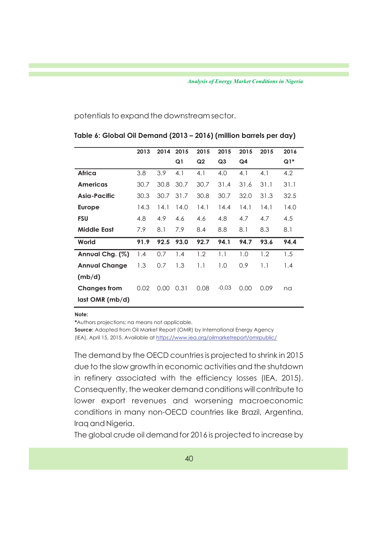potentials to expand the downstream sector.

|                      | 2013 | 2014 | 2015 | 2015 | 2015           | 2015 | 2015 | 2016  |
|----------------------|------|------|------|------|----------------|------|------|-------|
|                      |      |      | Q1   | Q2   | Q <sub>3</sub> | Q4   |      | $Q1*$ |
| <b>Africa</b>        | 3.8  | 3.9  | 4.1  | 4.1  | 4.0            | 4.1  | 4.1  | 4.2   |
| Americas             | 30.7 | 30.8 | 30.7 | 30.7 | 31.4           | 31.6 | 31.1 | 31.1  |
| Asia-Pacific         | 30.3 | 30.7 | 31.7 | 30.8 | 30.7           | 32.0 | 31.3 | 32.5  |
| <b>Europe</b>        | 14.3 | 14.1 | 14.0 | 14.1 | 14.4           | 14.1 | 14.1 | 14.0  |
| <b>FSU</b>           | 4.8  | 4.9  | 4.6  | 4.6  | 4.8            | 4.7  | 4.7  | 4.5   |
| Middle East          | 7.9  | 8.1  | 7.9  | 8.4  | 8.8            | 8.1  | 8.3  | 8.1   |
| World                | 91.9 | 92.5 | 93.0 | 92.7 | 94.1           | 94.7 | 93.6 | 94.4  |
| Annual Chg. (%)      | 1.4  | 0.7  | 1.4  | 1.2  | 1.1            | 1.0  | 1.2  | 1.5   |
| <b>Annual Change</b> | 1.3  | 0.7  | 1.3  | 1.1  | 1.0            | 0.9  | 1.1  | 1.4   |
| (mb/d)               |      |      |      |      |                |      |      |       |
| <b>Changes from</b>  | 0.02 | 0.00 | 0.31 | 0.08 | $-0.03$        | 0.00 | 0.09 | na    |
| last OMR (mb/d)      |      |      |      |      |                |      |      |       |

#### **Table 6: Global Oil Demand (2013 – 2016) (million barrels per day)**

**Note:** 

**\***Authors projections; na means not applicable,

**Source:** Adopted from Oil Market Report (OMR) by International Energy Agency (IEA), April 15, 2015. Available at https://www.iea.org/oilmarketreport/omrpublic/

The demand by the OECD countries is projected to shrink in 2015 due to the slow growth in economic activities and the shutdown in refinery associated with the efficiency losses (IEA, 2015). Consequently, the weaker demand conditions will contribute to lower export revenues and worsening macroeconomic conditions in many non-OECD countries like Brazil, Argentina, Iraq and Nigeria.

The global crude oil demand for 2016 is projected to increase by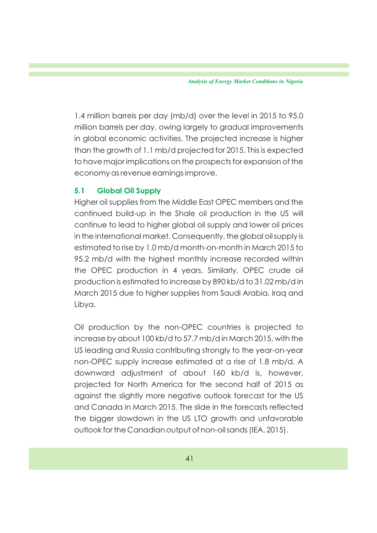1.4 million barrels per day (mb/d) over the level in 2015 to 95.0 million barrels per day, owing largely to gradual improvements in global economic activities. The projected increase is higher than the growth of 1.1 mb/d projected for 2015. This is expected to have major implications on the prospects for expansion of the economy as revenue earnings improve.

### **5.1 Global Oil Supply**

Higher oil supplies from the Middle East OPEC members and the continued build-up in the Shale oil production in the US will continue to lead to higher global oil supply and lower oil prices in the international market. Consequently, the global oil supply is estimated to rise by 1.0 mb/d month-on-month in March 2015 to 95.2 mb/d with the highest monthly increase recorded within the OPEC production in 4 years. Similarly, OPEC crude oil production is estimated to increase by 890 kb/d to 31.02 mb/d in March 2015 due to higher supplies from Saudi Arabia, Iraq and Libya.

Oil production by the non-OPEC countries is projected to increase by about 100 kb/d to 57.7 mb/d in March 2015, with the US leading and Russia contributing strongly to the year-on-year non-OPEC supply increase estimated at a rise of 1.8 mb/d. A downward adjustment of about 160 kb/d is, however, projected for North America for the second half of 2015 as against the slightly more negative outlook forecast for the US and Canada in March 2015. The slide in the forecasts reflected the bigger slowdown in the US LTO growth and unfavorable outlook for the Canadian output of non-oil sands (IEA, 2015).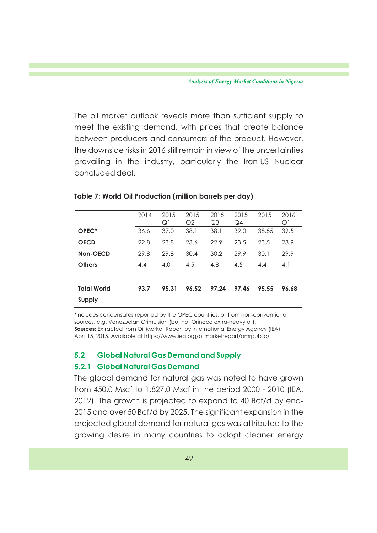The oil market outlook reveals more than sufficient supply to meet the existing demand, with prices that create balance between producers and consumers of the product. However, the downside risks in 2016 still remain in view of the uncertainties prevailing in the industry, particularly the Iran-US Nuclear concluded deal.

|                    | 2014 | 2015  | 2015           | 2015  | 2015  | 2015  | 2016  |
|--------------------|------|-------|----------------|-------|-------|-------|-------|
|                    |      | Q1    | Q <sub>2</sub> | Q3    | Q4    |       | Q1    |
| OPEC <sup>*</sup>  | 36.6 | 37.0  | 38.1           | 38.1  | 39.0  | 38.55 | 39.5  |
| <b>OECD</b>        | 22.8 | 23.8  | 23.6           | 22.9  | 23.5  | 23.5  | 23.9  |
| Non-OECD           | 29.8 | 29.8  | 30.4           | 30.2  | 29.9  | 30.1  | 29.9  |
| <b>Others</b>      | 4.4  | 4.0   | 4.5            | 4.8   | 4.5   | 4.4   | 4.1   |
|                    |      |       |                |       |       |       |       |
| <b>Total World</b> | 93.7 | 95.31 | 96.52          | 97.24 | 97.46 | 95.55 | 96.68 |
| <b>Supply</b>      |      |       |                |       |       |       |       |

#### **Table 7: World Oil Production (million barrels per day)**

\*Includes condensates reported by the OPEC countries, oil from non-conventional sources, e.g. Venezuelan Orimulsion (but not Orinoco extra-heavy oil). **Sources:** Extracted from Oil Market Report by International Energy Agency (IEA), April 15, 2015. Available at https://www.iea.org/oilmarketreport/omrpublic/

### **5.2 Global Natural Gas Demand and Supply**

### **5.2.1 Global Natural Gas Demand**

The global demand for natural gas was noted to have grown from 450.0 Mscf to 1,827.0 Mscf in the period 2000 - 2010 (IEA, 2012). The growth is projected to expand to 40 Bcf/d by end-2015 and over 50 Bcf/d by 2025. The significant expansion in the projected global demand for natural gas was attributed to the growing desire in many countries to adopt cleaner energy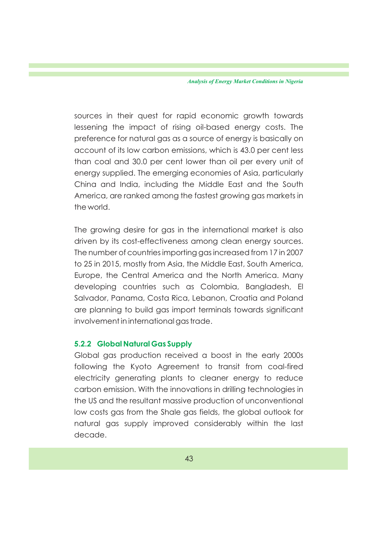sources in their quest for rapid economic growth towards lessening the impact of rising oil-based energy costs. The preference for natural gas as a source of energy is basically on account of its low carbon emissions, which is 43.0 per cent less than coal and 30.0 per cent lower than oil per every unit of energy supplied. The emerging economies of Asia, particularly China and India, including the Middle East and the South America, are ranked among the fastest growing gas markets in the world.

The growing desire for gas in the international market is also driven by its cost-effectiveness among clean energy sources. The number of countries importing gas increased from 17 in 2007 to 25 in 2015, mostly from Asia, the Middle East, South America, Europe, the Central America and the North America. Many developing countries such as Colombia, Bangladesh, El Salvador, Panama, Costa Rica, Lebanon, Croatia and Poland are planning to build gas import terminals towards significant involvement in international gas trade.

### **5.2.2 Global Natural Gas Supply**

Global gas production received a boost in the early 2000s following the Kyoto Agreement to transit from coal-fired electricity generating plants to cleaner energy to reduce carbon emission. With the innovations in drilling technologies in the US and the resultant massive production of unconventional low costs gas from the Shale gas fields, the global outlook for natural gas supply improved considerably within the last decade.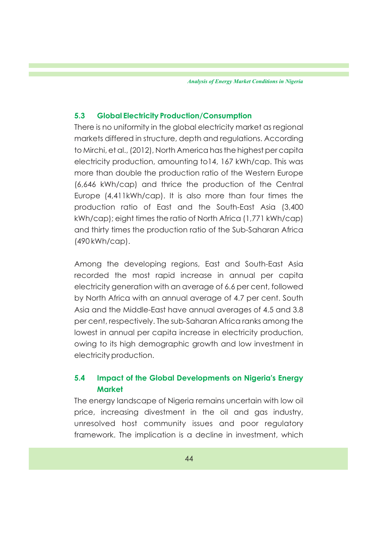### **5.3 Global Electricity Production/Consumption**

There is no uniformity in the global electricity market as regional markets differed in structure, depth and regulations. According to Mirchi, et al., (2012), North America has the highest per capita electricity production, amounting to14, 167 kWh/cap. This was more than double the production ratio of the Western Europe (6,646 kWh/cap) and thrice the production of the Central Europe (4,411kWh/cap). It is also more than four times the production ratio of East and the South-East Asia (3,400 kWh/cap); eight times the ratio of North Africa (1,771 kWh/cap) and thirty times the production ratio of the Sub-Saharan Africa (490 kWh/cap).

Among the developing regions, East and South-East Asia recorded the most rapid increase in annual per capita electricity generation with an average of 6.6 per cent, followed by North Africa with an annual average of 4.7 per cent. South Asia and the Middle-East have annual averages of 4.5 and 3.8 per cent, respectively. The sub-Saharan Africa ranks among the lowest in annual per capita increase in electricity production, owing to its high demographic growth and low investment in electricity production.

# **5.4 Impact of the Global Developments on Nigeria's Energy Market**

The energy landscape of Nigeria remains uncertain with low oil price, increasing divestment in the oil and gas industry, unresolved host community issues and poor regulatory framework. The implication is a decline in investment, which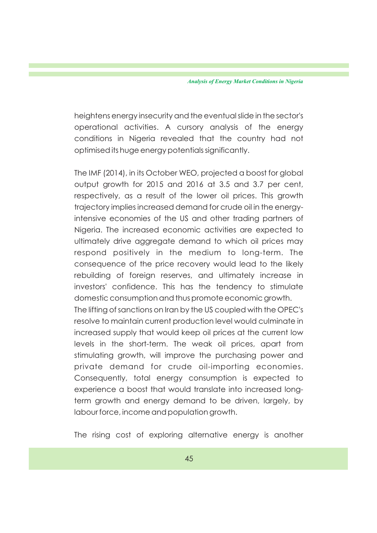heightens energy insecurity and the eventual slide in the sector's operational activities. A cursory analysis of the energy conditions in Nigeria revealed that the country had not optimised its huge energy potentials significantly.

The IMF (2014), in its October WEO, projected a boost for global output growth for 2015 and 2016 at 3.5 and 3.7 per cent, respectively, as a result of the lower oil prices. This growth trajectory implies increased demand for crude oil in the energyintensive economies of the US and other trading partners of Nigeria. The increased economic activities are expected to ultimately drive aggregate demand to which oil prices may respond positively in the medium to long-term. The consequence of the price recovery would lead to the likely rebuilding of foreign reserves, and ultimately increase in investors' confidence. This has the tendency to stimulate domestic consumption and thus promote economic growth.

The lifting of sanctions on Iran by the US coupled with the OPEC's resolve to maintain current production level would culminate in increased supply that would keep oil prices at the current low levels in the short-term. The weak oil prices, apart from stimulating growth, will improve the purchasing power and private demand for crude oil-importing economies. Consequently, total energy consumption is expected to experience a boost that would translate into increased longterm growth and energy demand to be driven, largely, by labour force, income and population growth.

The rising cost of exploring alternative energy is another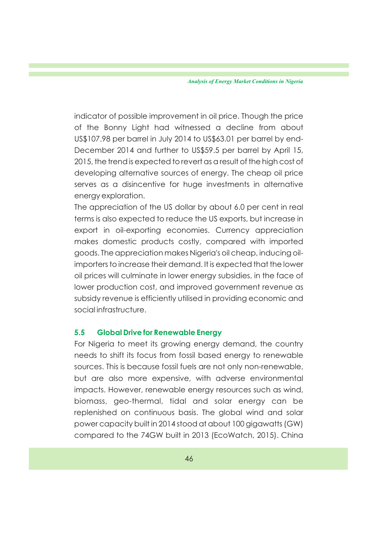indicator of possible improvement in oil price. Though the price of the Bonny Light had witnessed a decline from about US\$107.98 per barrel in July 2014 to US\$63.01 per barrel by end-December 2014 and further to US\$59.5 per barrel by April 15, 2015, the trend is expected to revert as a result of the high cost of developing alternative sources of energy. The cheap oil price serves as a disincentive for huge investments in alternative energy exploration.

The appreciation of the US dollar by about 6.0 per cent in real terms is also expected to reduce the US exports, but increase in export in oil-exporting economies. Currency appreciation makes domestic products costly, compared with imported goods. The appreciation makes Nigeria's oil cheap, inducing oilimporters to increase their demand. It is expected that the lower oil prices will culminate in lower energy subsidies, in the face of lower production cost, and improved government revenue as subsidy revenue is efficiently utilised in providing economic and social infrastructure.

### **5.5 Global Drive for Renewable Energy**

For Nigeria to meet its growing energy demand, the country needs to shift its focus from fossil based energy to renewable sources. This is because fossil fuels are not only non-renewable, but are also more expensive, with adverse environmental impacts. However, renewable energy resources such as wind, biomass, geo-thermal, tidal and solar energy can be replenished on continuous basis. The global wind and solar power capacity built in 2014 stood at about 100 gigawatts (GW) compared to the 74GW built in 2013 (EcoWatch, 2015). China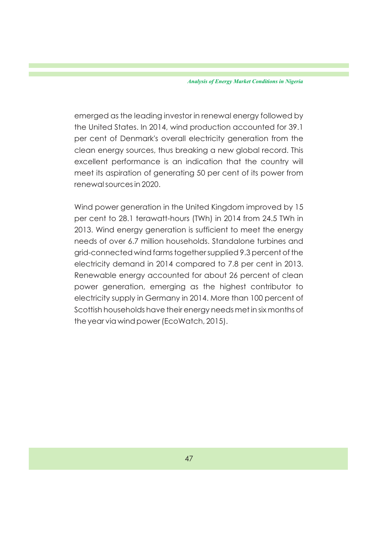emerged as the leading investor in renewal energy followed by the United States. In 2014, wind production accounted for 39.1 per cent of Denmark's overall electricity generation from the clean energy sources, thus breaking a new global record. This excellent performance is an indication that the country will meet its aspiration of generating 50 per cent of its power from renewal sources in 2020.

Wind power generation in the United Kingdom improved by 15 per cent to 28.1 terawatt-hours (TWh) in 2014 from 24.5 TWh in 2013. Wind energy generation is sufficient to meet the energy needs of over 6.7 million households. Standalone turbines and grid-connected wind farms together supplied 9.3 percent of the electricity demand in 2014 compared to 7.8 per cent in 2013. Renewable energy accounted for about 26 percent of clean power generation, emerging as the highest contributor to electricity supply in Germany in 2014. More than 100 percent of Scottish households have their energy needs met in six months of the year via wind power (EcoWatch, 2015).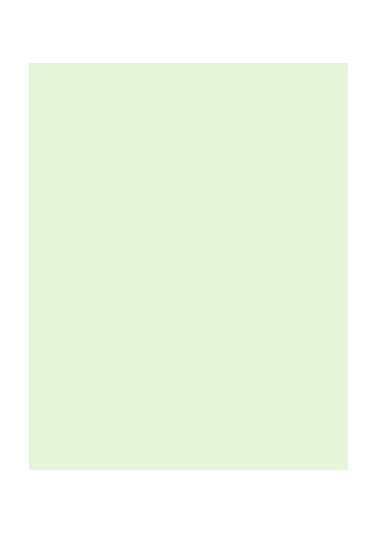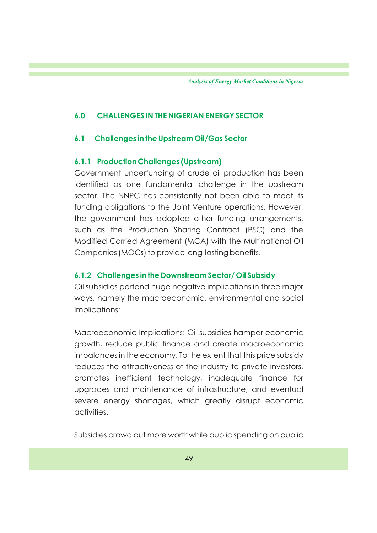# **6.0 CHALLENGES IN THE NIGERIAN ENERGY SECTOR**

### **6.1 Challenges in the Upstream Oil/Gas Sector**

### **6.1.1 Production Challenges (Upstream)**

Government underfunding of crude oil production has been identified as one fundamental challenge in the upstream sector. The NNPC has consistently not been able to meet its funding obligations to the Joint Venture operations. However, the government has adopted other funding arrangements, such as the Production Sharing Contract (PSC) and the Modified Carried Agreement (MCA) with the Multinational Oil Companies (MOCs) to provide long-lasting benefits.

### **6.1.2 Challenges in the Downstream Sector/ Oil Subsidy**

Oil subsidies portend huge negative implications in three major ways, namely the macroeconomic, environmental and social Implications:

Macroeconomic Implications: Oil subsidies hamper economic growth, reduce public finance and create macroeconomic imbalances in the economy. To the extent that this price subsidy reduces the attractiveness of the industry to private investors, promotes inefficient technology, inadequate finance for upgrades and maintenance of infrastructure, and eventual severe energy shortages, which greatly disrupt economic activities.

Subsidies crowd out more worthwhile public spending on public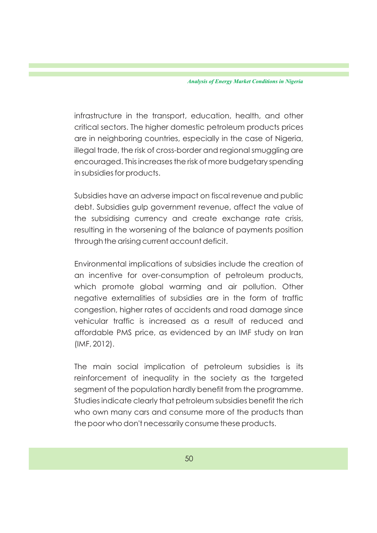infrastructure in the transport, education, health, and other critical sectors. The higher domestic petroleum products prices are in neighboring countries, especially in the case of Nigeria, illegal trade, the risk of cross-border and regional smuggling are encouraged. This increases the risk of more budgetary spending in subsidies for products.

Subsidies have an adverse impact on fiscal revenue and public debt. Subsidies gulp government revenue, affect the value of the subsidising currency and create exchange rate crisis, resulting in the worsening of the balance of payments position through the arising current account deficit.

Environmental implications of subsidies include the creation of an incentive for over-consumption of petroleum products, which promote global warming and air pollution. Other negative externalities of subsidies are in the form of traffic congestion, higher rates of accidents and road damage since vehicular traffic is increased as a result of reduced and affordable PMS price, as evidenced by an IMF study on Iran (IMF, 2012).

The main social implication of petroleum subsidies is its reinforcement of inequality in the society as the targeted segment of the population hardly benefit from the programme. Studies indicate clearly that petroleum subsidies benefit the rich who own many cars and consume more of the products than the poor who don't necessarily consume these products.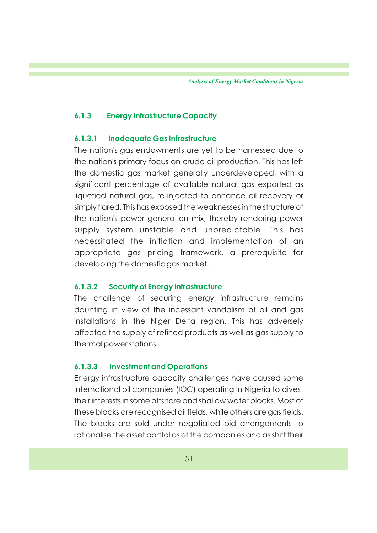## **6.1.3 Energy Infrastructure Capacity**

### **6.1.3.1 Inadequate Gas Infrastructure**

The nation's gas endowments are yet to be harnessed due to the nation's primary focus on crude oil production. This has left the domestic gas market generally underdeveloped, with a significant percentage of available natural gas exported as liquefied natural gas, re-injected to enhance oil recovery or simply flared. This has exposed the weaknesses in the structure of the nation's power generation mix, thereby rendering power supply system unstable and unpredictable. This has necessitated the initiation and implementation of an appropriate gas pricing framework, a prerequisite for developing the domestic gas market.

### **6.1.3.2 Security of Energy Infrastructure**

The challenge of securing energy infrastructure remains daunting in view of the incessant vandalism of oil and gas installations in the Niger Delta region. This has adversely affected the supply of refined products as well as gas supply to thermal power stations.

### **6.1.3.3 Investment and Operations**

Energy infrastructure capacity challenges have caused some international oil companies (IOC) operating in Nigeria to divest their interests in some offshore and shallow water blocks. Most of these blocks are recognised oil fields, while others are gas fields. The blocks are sold under negotiated bid arrangements to rationalise the asset portfolios of the companies and as shift their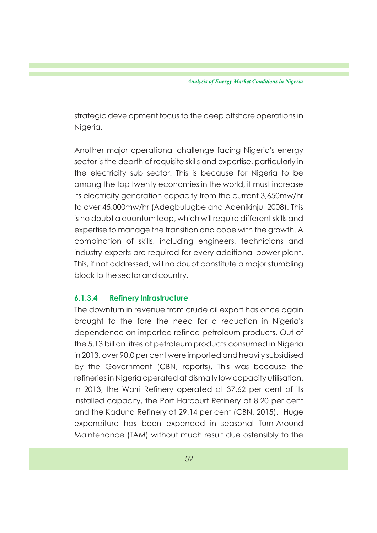strategic development focus to the deep offshore operations in Nigeria.

Another major operational challenge facing Nigeria's energy sector is the dearth of requisite skills and expertise, particularly in the electricity sub sector. This is because for Nigeria to be among the top twenty economies in the world, it must increase its electricity generation capacity from the current 3,650mw/hr to over 45,000mw/hr (Adegbulugbe and Adenikinju, 2008). This is no doubt a quantum leap, which will require different skills and expertise to manage the transition and cope with the growth. A combination of skills, including engineers, technicians and industry experts are required for every additional power plant. This, if not addressed, will no doubt constitute a major stumbling block to the sector and country.

### **6.1.3.4 Refinery Infrastructure**

The downturn in revenue from crude oil export has once again brought to the fore the need for a reduction in Nigeria's dependence on imported refined petroleum products. Out of the 5.13 billion litres of petroleum products consumed in Nigeria in 2013, over 90.0 per cent were imported and heavily subsidised by the Government (CBN, reports). This was because the refineries in Nigeria operated at dismally low capacity utilisation. In 2013, the Warri Refinery operated at 37.62 per cent of its installed capacity, the Port Harcourt Refinery at 8.20 per cent and the Kaduna Refinery at 29.14 per cent (CBN, 2015). Huge expenditure has been expended in seasonal Turn-Around Maintenance (TAM) without much result due ostensibly to the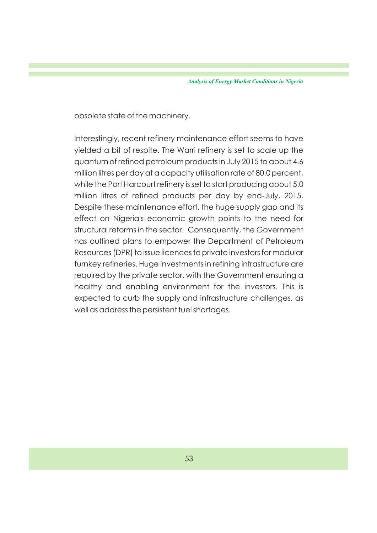obsolete state of the machinery.

Interestingly, recent refinery maintenance effort seems to have yielded a bit of respite. The Warri refinery is set to scale up the quantum of refined petroleum products in July 2015 to about 4.6 million litres per day at a capacity utilisation rate of 80.0 percent, while the Port Harcourt refinery is set to start producing about 5.0 million litres of refined products per day by end-July, 2015. Despite these maintenance effort, the huge supply gap and its effect on Nigeria's economic growth points to the need for structural reforms in the sector. Consequently, the Government has outlined plans to empower the Department of Petroleum Resources (DPR) to issue licences to private investors for modular turnkey refineries. Huge investments in refining infrastructure are required by the private sector, with the Government ensuring a healthy and enabling environment for the investors. This is expected to curb the supply and infrastructure challenges, as well as address the persistent fuel shortages.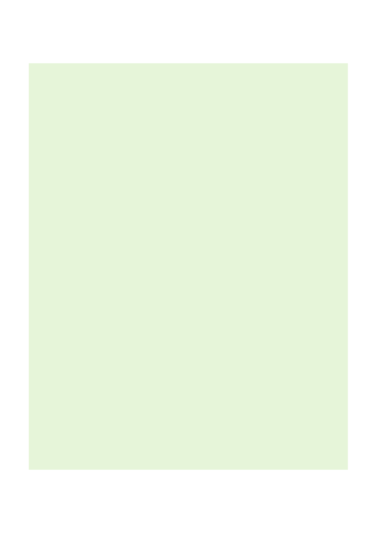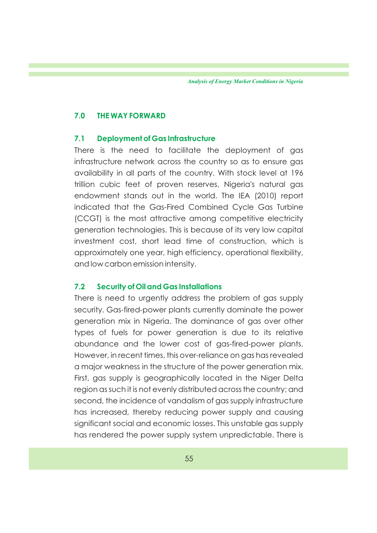### **7.0 THE WAY FORWARD**

### **7.1 Deployment of Gas Infrastructure**

There is the need to facilitate the deployment of gas infrastructure network across the country so as to ensure gas availability in all parts of the country. With stock level at 196 trillion cubic feet of proven reserves, Nigeria's natural gas endowment stands out in the world. The IEA (2010) report indicated that the Gas-Fired Combined Cycle Gas Turbine (CCGT) is the most attractive among competitive electricity generation technologies. This is because of its very low capital investment cost, short lead time of construction, which is approximately one year, high efficiency, operational flexibility, and low carbon emission intensity.

### **7.2 Security of Oil and Gas Installations**

There is need to urgently address the problem of gas supply security. Gas-fired-power plants currently dominate the power generation mix in Nigeria. The dominance of gas over other types of fuels for power generation is due to its relative abundance and the lower cost of gas-fired-power plants. However, in recent times, this over-reliance on gas has revealed a major weakness in the structure of the power generation mix. First, gas supply is geographically located in the Niger Delta region as such it is not evenly distributed across the country; and second, the incidence of vandalism of gas supply infrastructure has increased, thereby reducing power supply and causing significant social and economic losses. This unstable gas supply has rendered the power supply system unpredictable. There is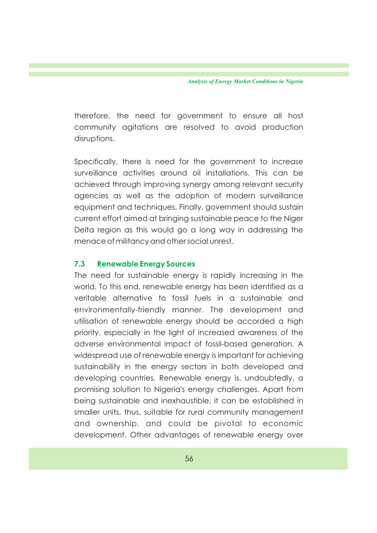therefore, the need for government to ensure all host community agitations are resolved to avoid production disruptions.

Specifically, there is need for the government to increase surveillance activities around oil installations. This can be achieved through improving synergy among relevant security agencies as well as the adoption of modern surveillance equipment and techniques. Finally, government should sustain current effort aimed at bringing sustainable peace to the Niger Delta region as this would go a long way in addressing the menace of militancy and other social unrest.

### **7.3 Renewable Energy Sources**

The need for sustainable energy is rapidly increasing in the world. To this end, renewable energy has been identified as a veritable alternative to fossil fuels in a sustainable and environmentally-friendly manner. The development and utilisation of renewable energy should be accorded a high priority, especially in the light of increased awareness of the adverse environmental impact of fossil-based generation. A widespread use of renewable energy is important for achieving sustainability in the energy sectors in both developed and developing countries. Renewable energy is, undoubtedly, a promising solution to Nigeria's energy challenges. Apart from being sustainable and inexhaustible, it can be established in smaller units, thus, suitable for rural community management and ownership, and could be pivotal to economic development. Other advantages of renewable energy over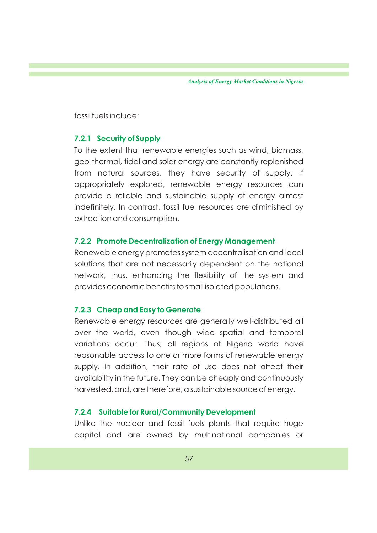fossil fuels include:

### **7.2.1 Security of Supply**

To the extent that renewable energies such as wind, biomass, geo-thermal, tidal and solar energy are constantly replenished from natural sources, they have security of supply. If appropriately explored, renewable energy resources can provide a reliable and sustainable supply of energy almost indefinitely. In contrast, fossil fuel resources are diminished by extraction and consumption.

### **7.2.2 Promote Decentralization of Energy Management**

Renewable energy promotes system decentralisation and local solutions that are not necessarily dependent on the national network, thus, enhancing the flexibility of the system and provides economic benefits to small isolated populations.

### **7.2.3 Cheap and Easy to Generate**

Renewable energy resources are generally well-distributed all over the world, even though wide spatial and temporal variations occur. Thus, all regions of Nigeria world have reasonable access to one or more forms of renewable energy supply. In addition, their rate of use does not affect their availability in the future. They can be cheaply and continuously harvested, and, are therefore, a sustainable source of energy.

### **7.2.4 Suitable for Rural/Community Development**

Unlike the nuclear and fossil fuels plants that require huge capital and are owned by multinational companies or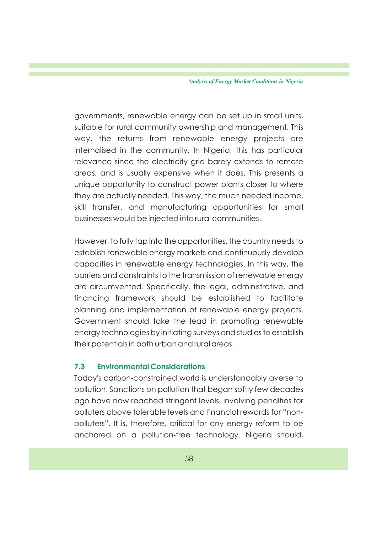governments, renewable energy can be set up in small units, suitable for rural community ownership and management. This way, the returns from renewable energy projects are internalised in the community. In Nigeria, this has particular relevance since the electricity grid barely extends to remote areas, and is usually expensive when it does. This presents a unique opportunity to construct power plants closer to where they are actually needed. This way, the much needed income, skill transfer, and manufacturing opportunities for small businesses would be injected into rural communities.

However, to fully tap into the opportunities, the country needs to establish renewable energy markets and continuously develop capacities in renewable energy technologies. In this way, the barriers and constraints to the transmission of renewable energy are circumvented. Specifically, the legal, administrative, and financing framework should be established to facilitate planning and implementation of renewable energy projects. Government should take the lead in promoting renewable energy technologies by initiating surveys and studies to establish their potentials in both urban and rural areas.

### **7.3 Environmental Considerations**

Today's carbon-constrained world is understandably averse to pollution. Sanctions on pollution that began softly few decades ago have now reached stringent levels, involving penalties for polluters above tolerable levels and financial rewards for "nonpolluters". It is, therefore, critical for any energy reform to be anchored on a pollution-free technology. Nigeria should,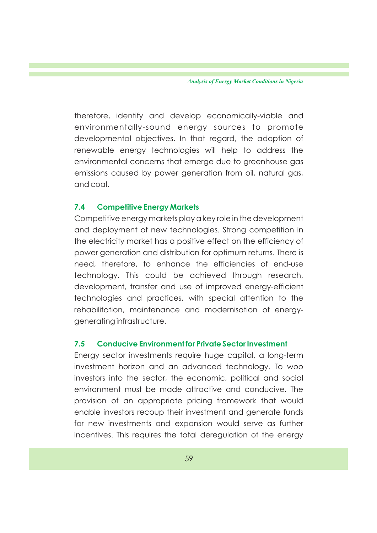therefore, identify and develop economically-viable and environmentally-sound energy sources to promote developmental objectives. In that regard, the adoption of renewable energy technologies will help to address the environmental concerns that emerge due to greenhouse gas emissions caused by power generation from oil, natural gas, and coal.

### **7.4 Competitive Energy Markets**

Competitive energy markets play a key role in the development and deployment of new technologies. Strong competition in the electricity market has a positive effect on the efficiency of power generation and distribution for optimum returns. There is need, therefore, to enhance the efficiencies of end-use technology. This could be achieved through research, development, transfer and use of improved energy-efficient technologies and practices, with special attention to the rehabilitation, maintenance and modernisation of energygenerating infrastructure.

## **7.5 Conducive Environment for Private Sector Investment**

Energy sector investments require huge capital, a long-term investment horizon and an advanced technology. To woo investors into the sector, the economic, political and social environment must be made attractive and conducive. The provision of an appropriate pricing framework that would enable investors recoup their investment and generate funds for new investments and expansion would serve as further incentives. This requires the total deregulation of the energy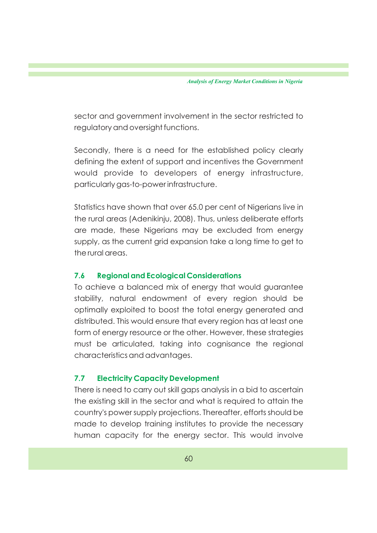sector and government involvement in the sector restricted to regulatory and oversight functions.

Secondly, there is a need for the established policy clearly defining the extent of support and incentives the Government would provide to developers of energy infrastructure, particularly gas-to-power infrastructure.

Statistics have shown that over 65.0 per cent of Nigerians live in the rural areas (Adenikinju, 2008). Thus, unless deliberate efforts are made, these Nigerians may be excluded from energy supply, as the current grid expansion take a long time to get to the rural areas.

### **7.6 Regional and Ecological Considerations**

To achieve a balanced mix of energy that would guarantee stability, natural endowment of every region should be optimally exploited to boost the total energy generated and distributed. This would ensure that every region has at least one form of energy resource or the other. However, these strategies must be articulated, taking into cognisance the regional characteristics and advantages.

### **7.7 Electricity Capacity Development**

There is need to carry out skill gaps analysis in a bid to ascertain the existing skill in the sector and what is required to attain the country's power supply projections. Thereafter, efforts should be made to develop training institutes to provide the necessary human capacity for the energy sector. This would involve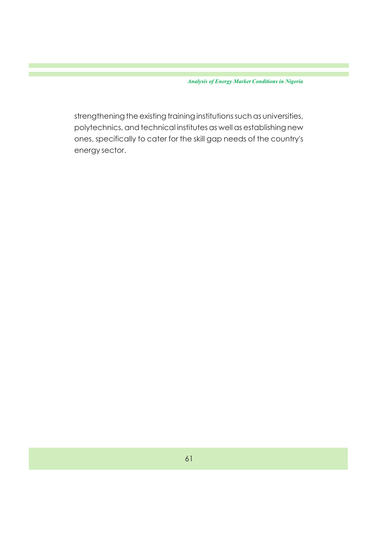strengthening the existing training institutions such as universities, polytechnics, and technical institutes as well as establishing new ones, specifically to cater for the skill gap needs of the country's energy sector.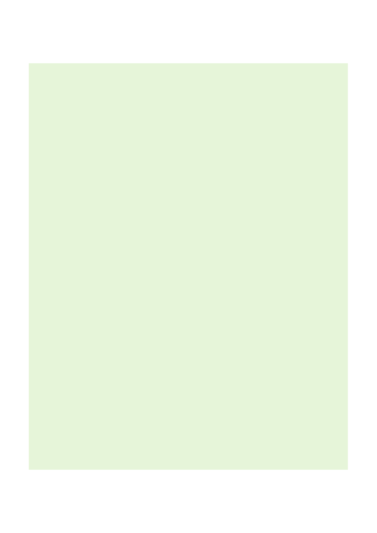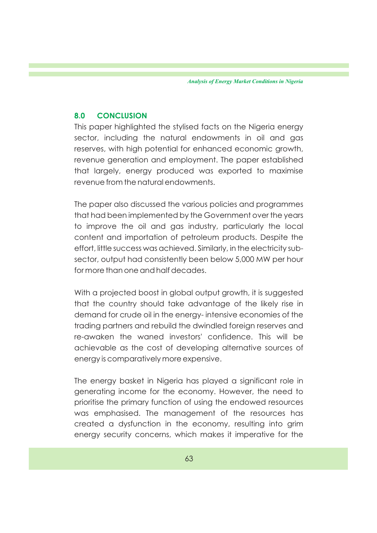# **8.0 CONCLUSION**

This paper highlighted the stylised facts on the Nigeria energy sector, including the natural endowments in oil and gas reserves, with high potential for enhanced economic growth, revenue generation and employment. The paper established that largely, energy produced was exported to maximise revenue from the natural endowments.

The paper also discussed the various policies and programmes that had been implemented by the Government over the years to improve the oil and gas industry, particularly the local content and importation of petroleum products. Despite the effort, little success was achieved. Similarly, in the electricity subsector, output had consistently been below 5,000 MW per hour for more than one and half decades.

With a projected boost in global output growth, it is suggested that the country should take advantage of the likely rise in demand for crude oil in the energy- intensive economies of the trading partners and rebuild the dwindled foreign reserves and re-awaken the waned investors' confidence. This will be achievable as the cost of developing alternative sources of energy is comparatively more expensive.

The energy basket in Nigeria has played a significant role in generating income for the economy. However, the need to prioritise the primary function of using the endowed resources was emphasised. The management of the resources has created a dysfunction in the economy, resulting into grim energy security concerns, which makes it imperative for the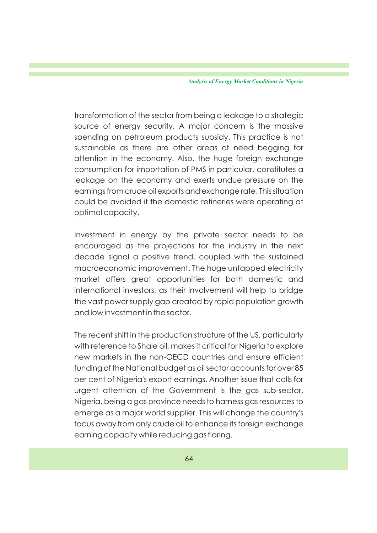transformation of the sector from being a leakage to a strategic source of energy security. A major concern is the massive spending on petroleum products subsidy. This practice is not sustainable as there are other areas of need begging for attention in the economy. Also, the huge foreign exchange consumption for importation of PMS in particular, constitutes a leakage on the economy and exerts undue pressure on the earnings from crude oil exports and exchange rate. This situation could be avoided if the domestic refineries were operating at optimal capacity.

Investment in energy by the private sector needs to be encouraged as the projections for the industry in the next decade signal a positive trend, coupled with the sustained macroeconomic improvement. The huge untapped electricity market offers great opportunities for both domestic and international investors, as their involvement will help to bridge the vast power supply gap created by rapid population growth and low investment in the sector.

The recent shift in the production structure of the US, particularly with reference to Shale oil, makes it critical for Nigeria to explore new markets in the non-OECD countries and ensure efficient funding of the National budget as oil sector accounts for over 85 per cent of Nigeria's export earnings. Another issue that calls for urgent attention of the Government is the gas sub-sector. Nigeria, being a gas province needs to harness gas resources to emerge as a major world supplier. This will change the country's focus away from only crude oil to enhance its foreign exchange earning capacity while reducing gas flaring.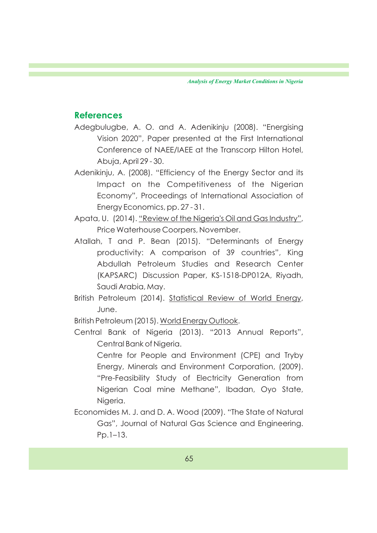## **References**

- Adegbulugbe, A. O. and A. Adenikinju (2008). "Energising Vision 2020", Paper presented at the First International Conference of NAEE/IAEE at the Transcorp Hilton Hotel, Abuja, April 29 - 30.
- Adenikinju, A. (2008). "Efficiency of the Energy Sector and its Impact on the Competitiveness of the Nigerian Economy", Proceedings of International Association of Energy Economics, pp. 27 - 31.
- Apata, U. (2014). "Review of the Nigeria's Oil and Gas Industry", Price Waterhouse Coorpers, November.
- Atallah, T and P. Bean (2015). "Determinants of Energy productivity: A comparison of 39 countries", King Abdullah Petroleum Studies and Research Center (KAPSARC) Discussion Paper, KS-1518-DP012A, Riyadh, Saudi Arabia, May.
- British Petroleum (2014). Statistical Review of World Energy, June.

British Petroleum (2015). World Energy Outlook.

Central Bank of Nigeria (2013). "2013 Annual Reports", Central Bank of Nigeria.

Centre for People and Environment (CPE) and Tryby Energy, Minerals and Environment Corporation, (2009). "Pre-Feasibility Study of Electricity Generation from Nigerian Coal mine Methane", Ibadan, Oyo State, Nigeria.

Economides M. J. and D. A. Wood (2009). "The State of Natural Gas", Journal of Natural Gas Science and Engineering. Pp.1–13.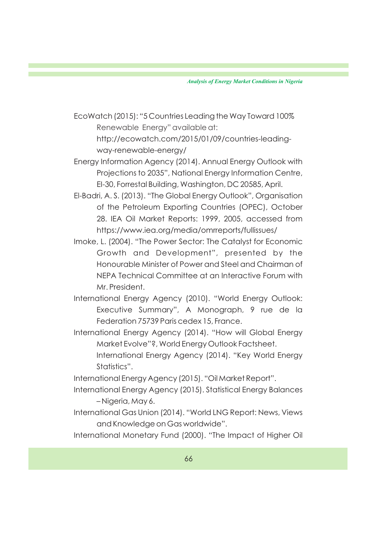EcoWatch (2015): "5 Countries Leading the Way Toward 100% Renewable Energy" available at:

http://ecowatch.com/2015/01/09/countries-leadingway-renewable-energy/

- Energy Information Agency (2014). Annual Energy Outlook with Projections to 2035", National Energy Information Centre, EI-30, Forrestal Building, Washington, DC 20585, April.
- El-Badri, A. S. (2013). "The Global Energy Outlook", Organisation of the Petroleum Exporting Countries (OPEC), October 28. IEA Oil Market Reports: 1999, 2005, accessed from https://www.iea.org/media/omrreports/fullissues/
- Imoke, L. (2004). "The Power Sector: The Catalyst for Economic Growth and Development", presented by the Honourable Minister of Power and Steel and Chairman of NEPA Technical Committee at an Interactive Forum with Mr. President.
- International Energy Agency (2010). "World Energy Outlook: Executive Summary", A Monograph, 9 rue de la Federation 75739 Paris cedex 15, France.
- International Energy Agency (2014). "How will Global Energy Market Evolve"?, World Energy Outlook Factsheet.
	- International Energy Agency (2014). "Key World Energy Statistics".
- International Energy Agency (2015). "Oil Market Report".
- International Energy Agency (2015). Statistical Energy Balances – Nigeria, May 6.
- International Gas Union (2014). "World LNG Report: News, Views and Knowledge on Gas worldwide".
- International Monetary Fund (2000). "The Impact of Higher Oil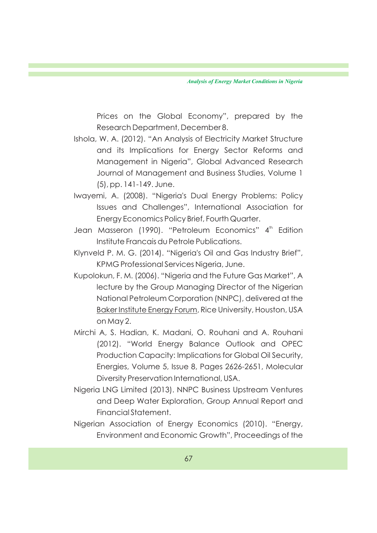Prices on the Global Economy", prepared by the Research Department, December 8.

- Ishola, W. A. (2012). "An Analysis of Electricity Market Structure and its Implications for Energy Sector Reforms and Management in Nigeria", Global Advanced Research Journal of Management and Business Studies, Volume 1 (5), pp. 141-149. June.
- Iwayemi, A. (2008). "Nigeria's Dual Energy Problems: Policy Issues and Challenges", International Association for Energy Economics Policy Brief, Fourth Quarter.
- Jean Masseron (1990). "Petroleum Economics" 4<sup>th</sup> Edition Institute Francais du Petrole Publications.
- Klynveld P. M. G. (2014). "Nigeria's Oil and Gas Industry Brief", KPMG Professional Services Nigeria, June.
- Kupolokun, F. M. (2006). "Nigeria and the Future Gas Market", A lecture by the Group Managing Director of the Nigerian National Petroleum Corporation (NNPC), delivered at the Baker Institute Energy Forum, Rice University, Houston, USA on May 2.
- Mirchi A, S. Hadian, K. Madani, O. Rouhani and A. Rouhani (2012). "World Energy Balance Outlook and OPEC Production Capacity: Implications for Global Oil Security, Energies, Volume 5, Issue 8, Pages 2626-2651, Molecular Diversity Preservation International, USA.
- Nigeria LNG Limited (2013). NNPC Business Upstream Ventures and Deep Water Exploration, Group Annual Report and Financial Statement.
- Nigerian Association of Energy Economics (2010). "Energy, Environment and Economic Growth", Proceedings of the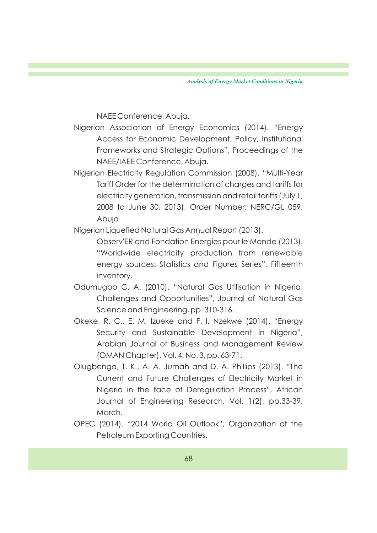NAEE Conference, Abuja.

- Nigerian Association of Energy Economics (2014). "Energy Access for Economic Development: Policy, Institutional Frameworks and Strategic Options", Proceedings of the NAEE/IAEE Conference, Abuja.
- Nigerian Electricity Regulation Commission (2008). "Multi-Year Tariff Order for the determination of charges and tariffs for electricity generation, transmission and retail tariffs (July 1, 2008 to June 30, 2013), Order Number: NERC/GL 059, Abuja.

Nigerian Liquefied Natural Gas Annual Report (2013).

Observ'ER and Fondation Energies pour le Monde (2013). "Worldwide electricity production from renewable energy sources: Statistics and Figures Series", Fifteenth inventory.

- Odumugbo C. A. (2010). "Natural Gas Utilisation in Nigeria: Challenges and Opportunities", Journal of Natural Gas Science and Engineering, pp. 310-316.
- Okeke, R. C., E. M. Izueke and F. I. Nzekwe (2014). "Energy Security and Sustainable Development in Nigeria", Arabian Journal of Business and Management Review (OMAN Chapter), Vol. 4, No. 3, pp. 63-71.
- Olugbenga, T. K., A. A. Jumah and D. A. Phillips (2013). "The Current and Future Challenges of Electricity Market in Nigeria in the face of Deregulation Process", African Journal of Engineering Research, Vol. 1(2), pp.33-39, March.
- OPEC (2014). "2014 World Oil Outlook", Organization of the Petroleum Exporting Countries.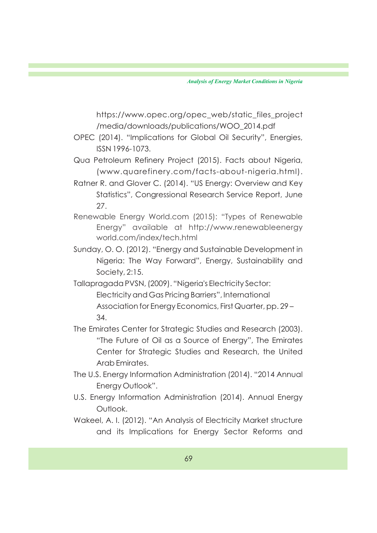https://www.opec.org/opec\_web/static\_files\_project /media/downloads/publications/WOO\_2014.pdf

- OPEC (2014). "Implications for Global Oil Security", Energies, ISSN 1996-1073.
- Qua Petroleum Refinery Project (2015). Facts about Nigeria, (www.quarefinery.com/facts-about-nigeria.html).
- Ratner R. and Glover C. (2014). "US Energy: Overview and Key Statistics", Congressional Research Service Report, June 27.
- Renewable Energy World.com (2015): "Types of Renewable Energy" available at http://www.renewableenergy world.com/index/tech.html
- Sunday, O. O. (2012). "Energy and Sustainable Development in Nigeria: The Way Forward", Energy, Sustainability and Society, 2:15.
- Tallapragada PVSN, (2009). "Nigeria's Electricity Sector: Electricity and Gas Pricing Barriers", International Association for Energy Economics, First Quarter, pp. 29 – 34.
- The Emirates Center for Strategic Studies and Research (2003). "The Future of Oil as a Source of Energy", The Emirates Center for Strategic Studies and Research, the United Arab Emirates.
- The U.S. Energy Information Administration (2014). "2014 Annual Energy Outlook".
- U.S. Energy Information Administration (2014). Annual Energy Outlook.
- Wakeel, A. I. (2012). "An Analysis of Electricity Market structure and its Implications for Energy Sector Reforms and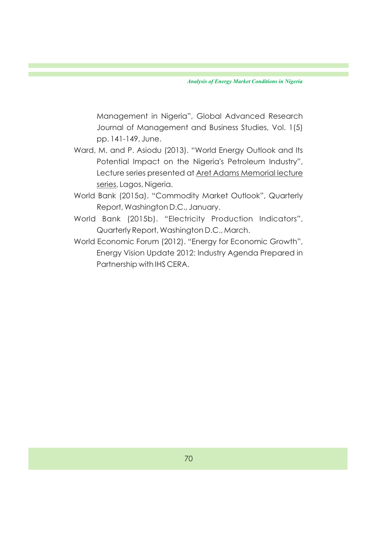Management in Nigeria", Global Advanced Research Journal of Management and Business Studies, Vol. 1(5) pp. 141-149, June.

- Ward, M. and P. Asiodu (2013). "World Energy Outlook and Its Potential Impact on the Nigeria's Petroleum Industry", Lecture series presented at Aret Adams Memorial lecture series, Lagos, Nigeria.
- World Bank (2015a). "Commodity Market Outlook", Quarterly Report, Washington D.C., January.
- World Bank (2015b). "Electricity Production Indicators", Quarterly Report, Washington D.C., March.
- World Economic Forum (2012). "Energy for Economic Growth", Energy Vision Update 2012: Industry Agenda Prepared in Partnership with IHS CERA.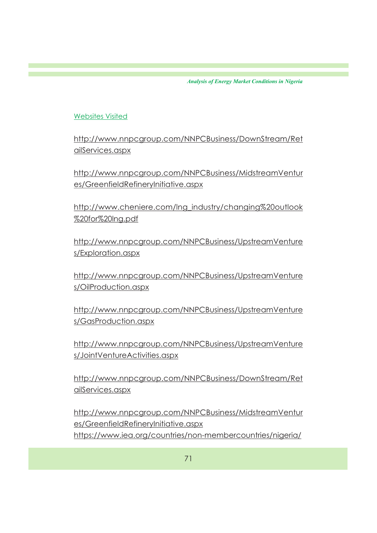## Websites Visited

http://www.nnpcgroup.com/NNPCBusiness/DownStream/Ret ailServices.aspx

http://www.nnpcgroup.com/NNPCBusiness/MidstreamVentur es/GreenfieldRefineryInitiative.aspx

http://www.cheniere.com/lng\_industry/changing%20outlook %20for%20lng.pdf

http://www.nnpcgroup.com/NNPCBusiness/UpstreamVenture s/Exploration.aspx

http://www.nnpcgroup.com/NNPCBusiness/UpstreamVenture s/OilProduction.aspx

http://www.nnpcgroup.com/NNPCBusiness/UpstreamVenture s/GasProduction.aspx

http://www.nnpcgroup.com/NNPCBusiness/UpstreamVenture s/JointVentureActivities.aspx

http://www.nnpcgroup.com/NNPCBusiness/DownStream/Ret ailServices.aspx

http://www.nnpcgroup.com/NNPCBusiness/MidstreamVentur es/GreenfieldRefineryInitiative.aspx https://www.iea.org/countries/non-membercountries/nigeria/